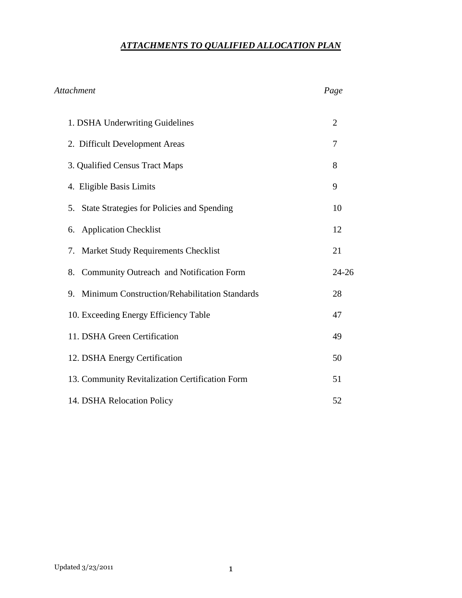# *ATTACHMENTS TO QUALIFIED ALLOCATION PLAN*

| <b>Attachment</b>                                | Page           |
|--------------------------------------------------|----------------|
| 1. DSHA Underwriting Guidelines                  | $\overline{2}$ |
| 2. Difficult Development Areas                   | 7              |
| 3. Qualified Census Tract Maps                   | 8              |
| 4. Eligible Basis Limits                         | 9              |
| 5. State Strategies for Policies and Spending    | 10             |
| <b>Application Checklist</b><br>6.               | 12             |
| Market Study Requirements Checklist<br>7.        | 21             |
| Community Outreach and Notification Form<br>8.   | $24 - 26$      |
| 9. Minimum Construction/Rehabilitation Standards | 28             |
| 10. Exceeding Energy Efficiency Table            | 47             |
| 11. DSHA Green Certification                     | 49             |
| 12. DSHA Energy Certification                    | 50             |
| 13. Community Revitalization Certification Form  | 51             |
| 14. DSHA Relocation Policy                       | 52             |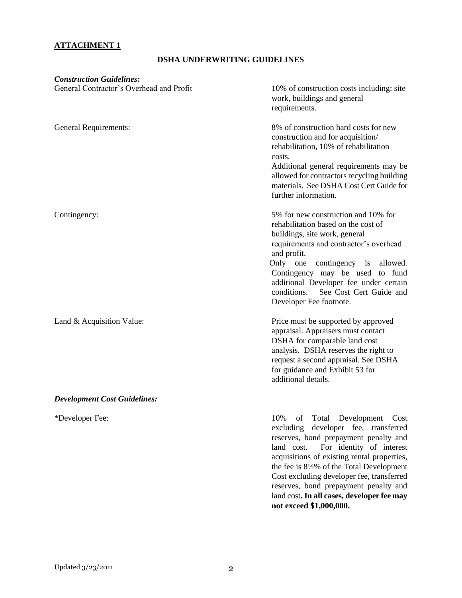# **ATTACHMENT 1**

## **DSHA UNDERWRITING GUIDELINES**

| <b>Construction Guidelines:</b><br>General Contractor's Overhead and Profit | 10% of construction costs including: site<br>work, buildings and general<br>requirements.                                                                                                                                                                                                                                                                  |
|-----------------------------------------------------------------------------|------------------------------------------------------------------------------------------------------------------------------------------------------------------------------------------------------------------------------------------------------------------------------------------------------------------------------------------------------------|
| <b>General Requirements:</b>                                                | 8% of construction hard costs for new<br>construction and for acquisition/<br>rehabilitation, 10% of rehabilitation<br>costs.<br>Additional general requirements may be<br>allowed for contractors recycling building<br>materials. See DSHA Cost Cert Guide for<br>further information.                                                                   |
| Contingency:                                                                | 5% for new construction and 10% for<br>rehabilitation based on the cost of<br>buildings, site work, general<br>requirements and contractor's overhead<br>and profit.<br>Only one contingency is allowed.<br>Contingency may be used to fund<br>additional Developer fee under certain<br>See Cost Cert Guide and<br>conditions.<br>Developer Fee footnote. |
| Land & Acquisition Value:                                                   | Price must be supported by approved<br>appraisal. Appraisers must contact<br>DSHA for comparable land cost<br>analysis. DSHA reserves the right to<br>request a second appraisal. See DSHA<br>for guidance and Exhibit 53 for<br>additional details.                                                                                                       |
| <b>Development Cost Guidelines:</b>                                         |                                                                                                                                                                                                                                                                                                                                                            |
| *Developer Fee:                                                             | 10%<br>of Total<br>Development<br>Cost<br>excluding developer fee, transferred<br>reserves, bond prepayment penalty and<br>land cost.<br>For identity of interest<br>acquisitions of existing rental properties,<br>the fee is 81/2% of the Total Development                                                                                              |

Cost excluding developer fee, transferred reserves, bond prepayment penalty and land cost**. In all cases, developer fee may not exceed \$1,000,000.**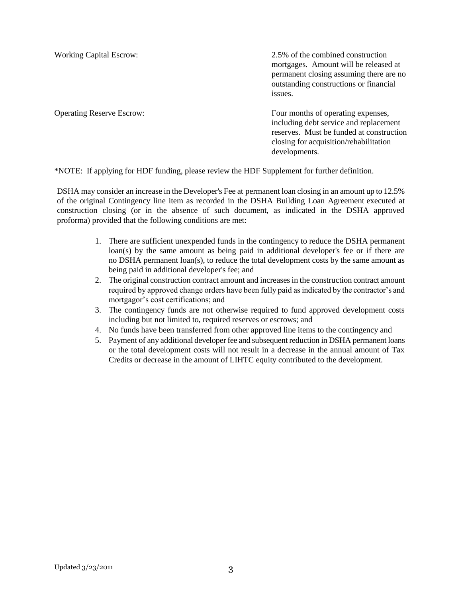Working Capital Escrow: 2.5% of the combined construction mortgages. Amount will be released at permanent closing assuming there are no outstanding constructions or financial issues.

Operating Reserve Escrow: Four months of operating expenses, including debt service and replacement reserves. Must be funded at construction closing for acquisition/rehabilitation developments.

\*NOTE: If applying for HDF funding, please review the HDF Supplement for further definition.

DSHA may consider an increase in the Developer's Fee at permanent loan closing in an amount up to 12.5% of the original Contingency line item as recorded in the DSHA Building Loan Agreement executed at construction closing (or in the absence of such document, as indicated in the DSHA approved proforma) provided that the following conditions are met:

- 1. There are sufficient unexpended funds in the contingency to reduce the DSHA permanent loan(s) by the same amount as being paid in additional developer's fee or if there are no DSHA permanent loan(s), to reduce the total development costs by the same amount as being paid in additional developer's fee; and
- 2. The original construction contract amount and increases in the construction contract amount required by approved change orders have been fully paid as indicated by the contractor's and mortgagor's cost certifications; and
- 3. The contingency funds are not otherwise required to fund approved development costs including but not limited to, required reserves or escrows; and
- 4. No funds have been transferred from other approved line items to the contingency and
- 5. Payment of any additional developer fee and subsequent reduction in DSHA permanent loans or the total development costs will not result in a decrease in the annual amount of Tax Credits or decrease in the amount of LIHTC equity contributed to the development.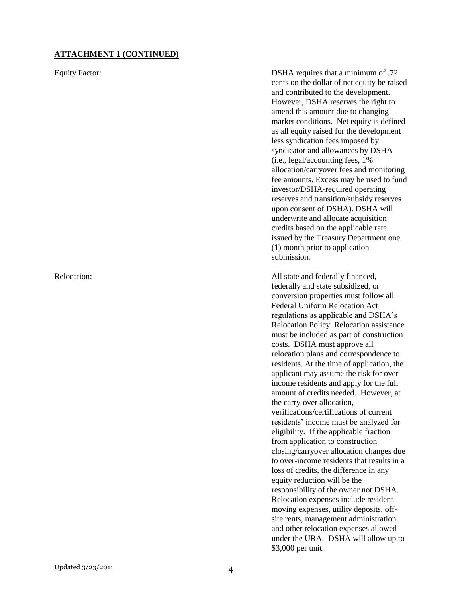#### **ATTACHMENT 1 (CONTINUED)**

Equity Factor: DSHA requires that a minimum of .72 cents on the dollar of net equity be raised and contributed to the development. However, DSHA reserves the right to amend this amount due to changing market conditions. Net equity is defined as all equity raised for the development less syndication fees imposed by syndicator and allowances by DSHA (i.e., legal/accounting fees, 1% allocation/carryover fees and monitoring fee amounts. Excess may be used to fund investor/DSHA-required operating reserves and transition/subsidy reserves upon consent of DSHA). DSHA will underwrite and allocate acquisition credits based on the applicable rate issued by the Treasury Department one (1) month prior to application submission.

Relocation: All state and federally financed, federally and state subsidized, or conversion properties must follow all Federal Uniform Relocation Act regulations as applicable and DSHA"s Relocation Policy. Relocation assistance must be included as part of construction costs. DSHA must approve all relocation plans and correspondence to residents. At the time of application, the applicant may assume the risk for overincome residents and apply for the full amount of credits needed. However, at the carry-over allocation, verifications/certifications of current residents" income must be analyzed for eligibility. If the applicable fraction from application to construction closing/carryover allocation changes due to over-income residents that results in a loss of credits, the difference in any equity reduction will be the responsibility of the owner not DSHA. Relocation expenses include resident moving expenses, utility deposits, offsite rents, management administration and other relocation expenses allowed under the URA. DSHA will allow up to \$3,000 per unit.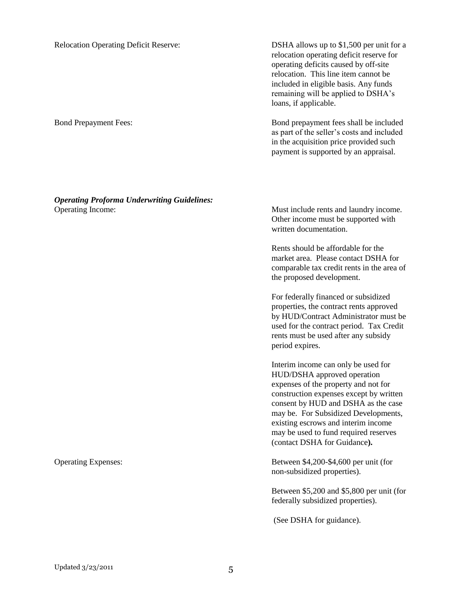Relocation Operating Deficit Reserve: DSHA allows up to \$1,500 per unit for a relocation operating deficit reserve for operating deficits caused by off-site relocation. This line item cannot be included in eligible basis. Any funds remaining will be applied to DSHA"s loans, if applicable.

Bond Prepayment Fees: Bond prepayment fees shall be included as part of the seller"s costs and included in the acquisition price provided such payment is supported by an appraisal.

*Operating Proforma Underwriting Guidelines:* Operating Income: Must include rents and laundry income.

Other income must be supported with written documentation.

Rents should be affordable for the market area. Please contact DSHA for comparable tax credit rents in the area of the proposed development.

For federally financed or subsidized properties, the contract rents approved by HUD/Contract Administrator must be used for the contract period. Tax Credit rents must be used after any subsidy period expires.

Interim income can only be used for HUD/DSHA approved operation expenses of the property and not for construction expenses except by written consent by HUD and DSHA as the case may be. For Subsidized Developments, existing escrows and interim income may be used to fund required reserves (contact DSHA for Guidance**).**

Operating Expenses: Between \$4,200-\$4,600 per unit (for non-subsidized properties).

> Between \$5,200 and \$5,800 per unit (for federally subsidized properties).

(See DSHA for guidance).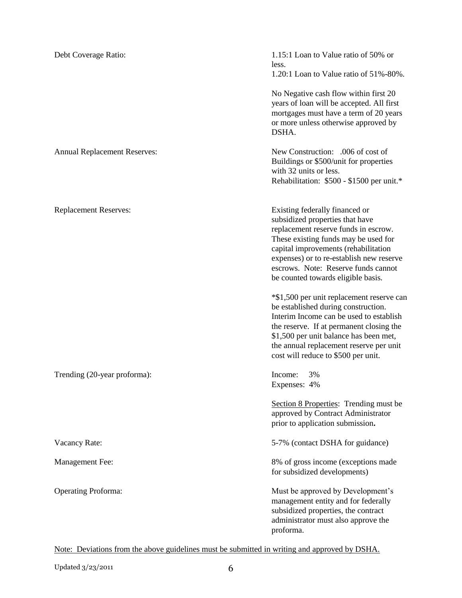| Debt Coverage Ratio:                | 1.15:1 Loan to Value ratio of 50% or<br>less.<br>1.20:1 Loan to Value ratio of 51%-80%.                                                                                                                                                                                                                            |
|-------------------------------------|--------------------------------------------------------------------------------------------------------------------------------------------------------------------------------------------------------------------------------------------------------------------------------------------------------------------|
|                                     | No Negative cash flow within first 20<br>years of loan will be accepted. All first<br>mortgages must have a term of 20 years<br>or more unless otherwise approved by<br>DSHA.                                                                                                                                      |
| <b>Annual Replacement Reserves:</b> | New Construction: .006 of cost of<br>Buildings or \$500/unit for properties<br>with 32 units or less.<br>Rehabilitation: \$500 - \$1500 per unit.*                                                                                                                                                                 |
| <b>Replacement Reserves:</b>        | Existing federally financed or<br>subsidized properties that have<br>replacement reserve funds in escrow.<br>These existing funds may be used for<br>capital improvements (rehabilitation<br>expenses) or to re-establish new reserve<br>escrows. Note: Reserve funds cannot<br>be counted towards eligible basis. |
|                                     | *\$1,500 per unit replacement reserve can<br>be established during construction.<br>Interim Income can be used to establish<br>the reserve. If at permanent closing the<br>\$1,500 per unit balance has been met,<br>the annual replacement reserve per unit<br>cost will reduce to \$500 per unit.                |
| Trending (20-year proforma):        | Income:<br>3%<br>Expenses: 4%                                                                                                                                                                                                                                                                                      |
|                                     | Section 8 Properties: Trending must be<br>approved by Contract Administrator<br>prior to application submission.                                                                                                                                                                                                   |
| Vacancy Rate:                       | 5-7% (contact DSHA for guidance)                                                                                                                                                                                                                                                                                   |
| Management Fee:                     | 8% of gross income (exceptions made<br>for subsidized developments)                                                                                                                                                                                                                                                |
| <b>Operating Proforma:</b>          | Must be approved by Development's<br>management entity and for federally<br>subsidized properties, the contract<br>administrator must also approve the<br>proforma.                                                                                                                                                |

Note: Deviations from the above guidelines must be submitted in writing and approved by DSHA.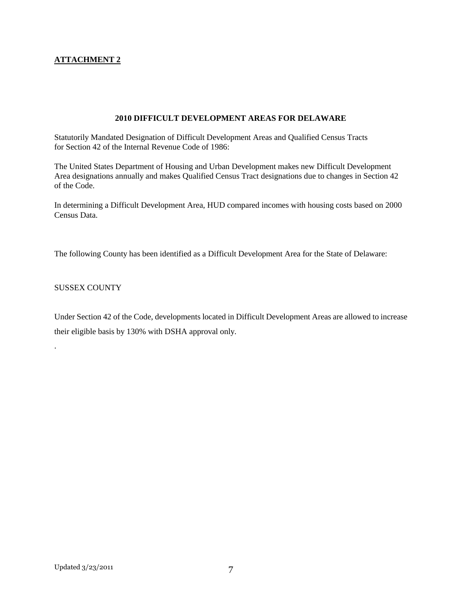#### **ATTACHMENT 2**

#### **2010 DIFFICULT DEVELOPMENT AREAS FOR DELAWARE**

Statutorily Mandated Designation of Difficult Development Areas and Qualified Census Tracts for Section 42 of the Internal Revenue Code of 1986:

The United States Department of Housing and Urban Development makes new Difficult Development Area designations annually and makes Qualified Census Tract designations due to changes in Section 42 of the Code.

In determining a Difficult Development Area, HUD compared incomes with housing costs based on 2000 Census Data.

The following County has been identified as a Difficult Development Area for the State of Delaware:

#### SUSSEX COUNTY

.

Under Section 42 of the Code, developments located in Difficult Development Areas are allowed to increase their eligible basis by 130% with DSHA approval only.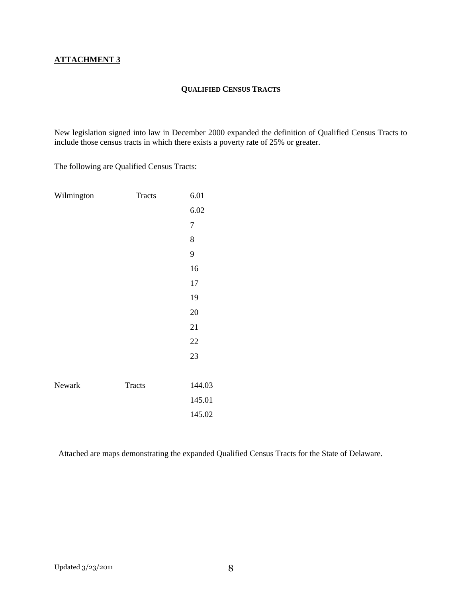#### **QUALIFIED CENSUS TRACTS**

New legislation signed into law in December 2000 expanded the definition of Qualified Census Tracts to include those census tracts in which there exists a poverty rate of 25% or greater.

The following are Qualified Census Tracts:

| Wilmington | <b>Tracts</b> | 6.01           |
|------------|---------------|----------------|
|            |               | 6.02           |
|            |               | $\overline{7}$ |
|            |               | 8              |
|            |               | 9              |
|            |               | 16             |
|            |               | 17             |
|            |               | 19             |
|            |               | 20             |
|            |               | 21             |
|            |               | 22             |
|            |               | 23             |
|            |               |                |
| Newark     | <b>Tracts</b> | 144.03         |
|            |               | 145.01         |
|            |               | 145.02         |

Attached are maps demonstrating the expanded Qualified Census Tracts for the State of Delaware.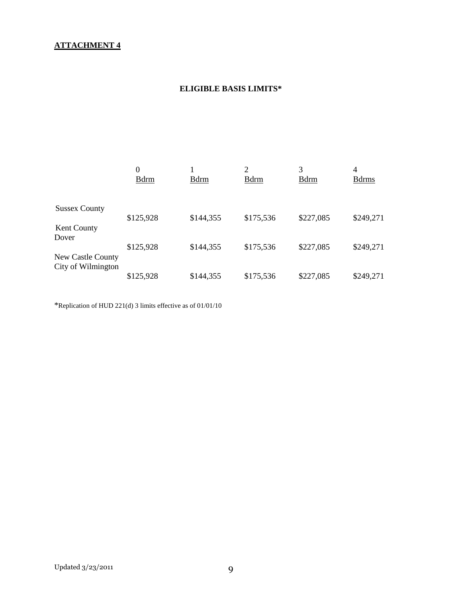# **ATTACHMENT 4**

# **ELIGIBLE BASIS LIMITS\***

|                             | 0<br><b>B</b> drm | <b>B</b> drm | $\overline{c}$<br><b>B</b> drm | 3<br><b>B</b> drm | $\overline{4}$<br><b>B</b> drms |
|-----------------------------|-------------------|--------------|--------------------------------|-------------------|---------------------------------|
| <b>Sussex County</b>        |                   |              |                                |                   |                                 |
|                             | \$125,928         | \$144,355    | \$175,536                      | \$227,085         | \$249,271                       |
| <b>Kent County</b><br>Dover |                   |              |                                |                   |                                 |
|                             | \$125,928         | \$144,355    | \$175,536                      | \$227,085         | \$249,271                       |
| <b>New Castle County</b>    |                   |              |                                |                   |                                 |
| City of Wilmington          | \$125,928         | \$144,355    | \$175,536                      | \$227,085         | \$249,271                       |

\*Replication of HUD 221(d) 3 limits effective as of 01/01/10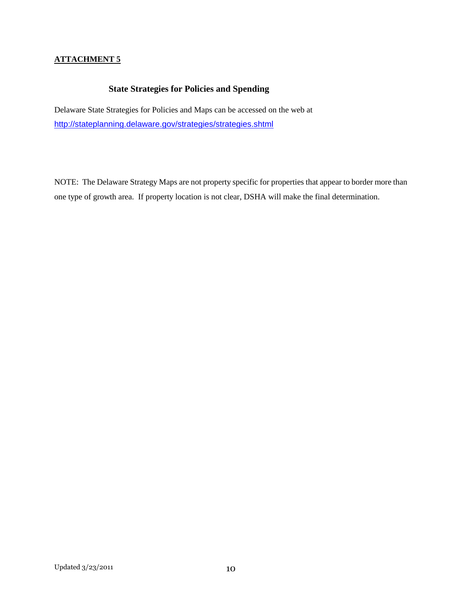### **ATTACHMENT 5**

# **State Strategies for Policies and Spending**

Delaware State Strategies for Policies and Maps can be accessed on the web at <http://stateplanning.delaware.gov/strategies/strategies.shtml>

NOTE: The Delaware Strategy Maps are not property specific for properties that appear to border more than one type of growth area. If property location is not clear, DSHA will make the final determination.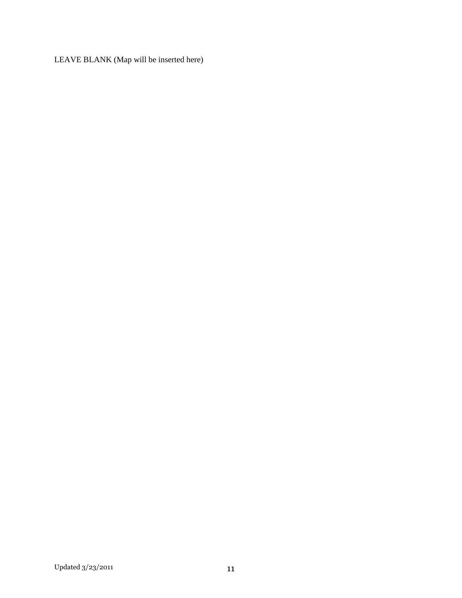LEAVE BLANK (Map will be inserted here)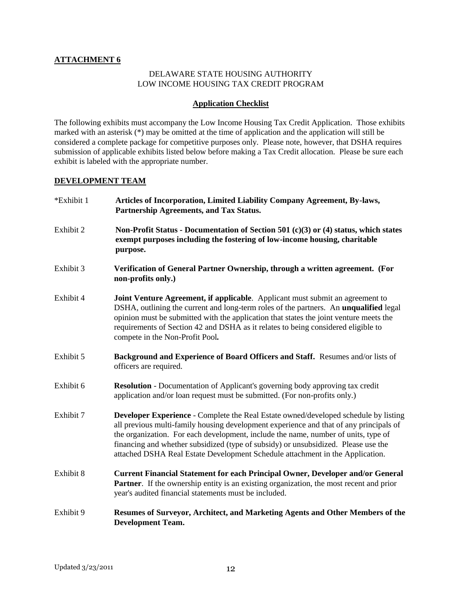#### **ATTACHMENT 6**

#### DELAWARE STATE HOUSING AUTHORITY LOW INCOME HOUSING TAX CREDIT PROGRAM

#### **Application Checklist**

The following exhibits must accompany the Low Income Housing Tax Credit Application. Those exhibits marked with an asterisk (\*) may be omitted at the time of application and the application will still be considered a complete package for competitive purposes only. Please note, however, that DSHA requires submission of applicable exhibits listed below before making a Tax Credit allocation. Please be sure each exhibit is labeled with the appropriate number.

#### **DEVELOPMENT TEAM**

| *Exhibit 1 | Articles of Incorporation, Limited Liability Company Agreement, By-laws,<br>Partnership Agreements, and Tax Status.                                                                                                                                                                                                                                                                                                                        |
|------------|--------------------------------------------------------------------------------------------------------------------------------------------------------------------------------------------------------------------------------------------------------------------------------------------------------------------------------------------------------------------------------------------------------------------------------------------|
| Exhibit 2  | Non-Profit Status - Documentation of Section 501 (c)(3) or (4) status, which states<br>exempt purposes including the fostering of low-income housing, charitable<br>purpose.                                                                                                                                                                                                                                                               |
| Exhibit 3  | Verification of General Partner Ownership, through a written agreement. (For<br>non-profits only.)                                                                                                                                                                                                                                                                                                                                         |
| Exhibit 4  | <b>Joint Venture Agreement, if applicable.</b> Applicant must submit an agreement to<br>DSHA, outlining the current and long-term roles of the partners. An <b>unqualified</b> legal<br>opinion must be submitted with the application that states the joint venture meets the<br>requirements of Section 42 and DSHA as it relates to being considered eligible to<br>compete in the Non-Profit Pool.                                     |
| Exhibit 5  | Background and Experience of Board Officers and Staff. Resumes and/or lists of<br>officers are required.                                                                                                                                                                                                                                                                                                                                   |
| Exhibit 6  | <b>Resolution</b> - Documentation of Applicant's governing body approving tax credit<br>application and/or loan request must be submitted. (For non-profits only.)                                                                                                                                                                                                                                                                         |
| Exhibit 7  | Developer Experience - Complete the Real Estate owned/developed schedule by listing<br>all previous multi-family housing development experience and that of any principals of<br>the organization. For each development, include the name, number of units, type of<br>financing and whether subsidized (type of subsidy) or unsubsidized. Please use the<br>attached DSHA Real Estate Development Schedule attachment in the Application. |
| Exhibit 8  | <b>Current Financial Statement for each Principal Owner, Developer and/or General</b><br><b>Partner.</b> If the ownership entity is an existing organization, the most recent and prior<br>year's audited financial statements must be included.                                                                                                                                                                                           |
| Exhibit 9  | Resumes of Surveyor, Architect, and Marketing Agents and Other Members of the<br><b>Development Team.</b>                                                                                                                                                                                                                                                                                                                                  |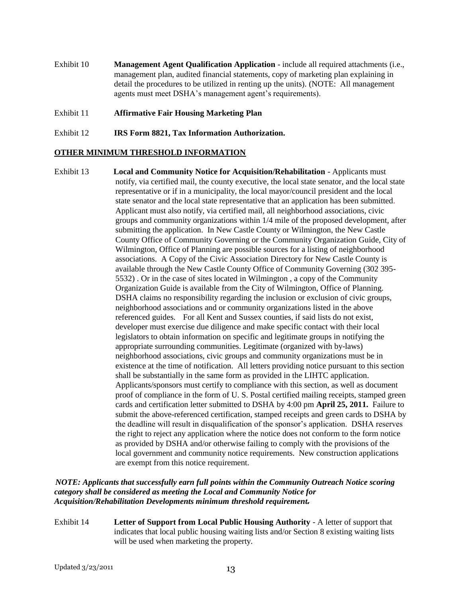- Exhibit 10 **Management Agent Qualification Application** include all required attachments (i.e., management plan, audited financial statements, copy of marketing plan explaining in detail the procedures to be utilized in renting up the units). (NOTE: All management agents must meet DSHA's management agent's requirements).
- Exhibit 11 **Affirmative Fair Housing Marketing Plan**
- Exhibit 12 **IRS Form 8821, Tax Information Authorization.**

#### **OTHER MINIMUM THRESHOLD INFORMATION**

Exhibit 13 **Local and Community Notice for Acquisition/Rehabilitation** - Applicants must notify, via certified mail, the county executive, the local state senator, and the local state representative or if in a municipality, the local mayor/council president and the local state senator and the local state representative that an application has been submitted. Applicant must also notify, via certified mail, all neighborhood associations, civic groups and community organizations within 1/4 mile of the proposed development, after submitting the application. In New Castle County or Wilmington, the New Castle County Office of Community Governing or the Community Organization Guide, City of Wilmington, Office of Planning are possible sources for a listing of neighborhood associations. A Copy of the Civic Association Directory for New Castle County is available through the New Castle County Office of Community Governing (302 395- 5532) . Or in the case of sites located in Wilmington , a copy of the Community Organization Guide is available from the City of Wilmington, Office of Planning. DSHA claims no responsibility regarding the inclusion or exclusion of civic groups, neighborhood associations and or community organizations listed in the above referenced guides. For all Kent and Sussex counties, if said lists do not exist, developer must exercise due diligence and make specific contact with their local legislators to obtain information on specific and legitimate groups in notifying the appropriate surrounding communities. Legitimate (organized with by-laws) neighborhood associations, civic groups and community organizations must be in existence at the time of notification. All letters providing notice pursuant to this section shall be substantially in the same form as provided in the LIHTC application. Applicants/sponsors must certify to compliance with this section, as well as document proof of compliance in the form of U. S. Postal certified mailing receipts, stamped green cards and certification letter submitted to DSHA by 4:00 pm **April 25, 2011.** Failure to submit the above-referenced certification, stamped receipts and green cards to DSHA by the deadline will result in disqualification of the sponsor"s application. DSHA reserves the right to reject any application where the notice does not conform to the form notice as provided by DSHA and/or otherwise failing to comply with the provisions of the local government and community notice requirements. New construction applications are exempt from this notice requirement.

#### *NOTE: Applicants that successfully earn full points within the Community Outreach Notice scoring category shall be considered as meeting the Local and Community Notice for Acquisition/Rehabilitation Developments minimum threshold requirement.*

Exhibit 14 **Letter of Support from Local Public Housing Authority** - A letter of support that indicates that local public housing waiting lists and/or Section 8 existing waiting lists will be used when marketing the property.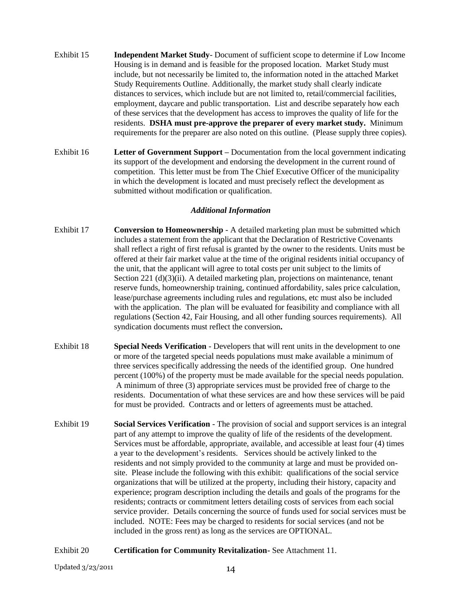- Exhibit 15 **Independent Market Study** Document of sufficient scope to determine if Low Income Housing is in demand and is feasible for the proposed location. Market Study must include, but not necessarily be limited to, the information noted in the attached Market Study Requirements Outline. Additionally, the market study shall clearly indicate distances to services, which include but are not limited to, retail/commercial facilities, employment, daycare and public transportation. List and describe separately how each of these services that the development has access to improves the quality of life for the residents. **DSHA must pre-approve the preparer of every market study.** Minimum requirements for the preparer are also noted on this outline. (Please supply three copies).
- Exhibit 16 **Letter of Government Support –** Documentation from the local government indicating its support of the development and endorsing the development in the current round of competition. This letter must be from The Chief Executive Officer of the municipality in which the development is located and must precisely reflect the development as submitted without modification or qualification.

#### *Additional Information*

- Exhibit 17 **Conversion to Homeownership** *-* A detailed marketing plan must be submitted which includes a statement from the applicant that the Declaration of Restrictive Covenants shall reflect a right of first refusal is granted by the owner to the residents. Units must be offered at their fair market value at the time of the original residents initial occupancy of the unit, that the applicant will agree to total costs per unit subject to the limits of Section 221 (d)(3)(ii). A detailed marketing plan, projections on maintenance, tenant reserve funds, homeownership training, continued affordability, sales price calculation, lease/purchase agreements including rules and regulations, etc must also be included with the application. The plan will be evaluated for feasibility and compliance with all regulations (Section 42, Fair Housing, and all other funding sources requirements). All syndication documents must reflect the conversion**.**
- Exhibit 18 **Special Needs Verification** Developers that will rent units in the development to one or more of the targeted special needs populations must make available a minimum of three services specifically addressing the needs of the identified group. One hundred percent (100%) of the property must be made available for the special needs population. A minimum of three (3) appropriate services must be provided free of charge to the residents. Documentation of what these services are and how these services will be paid for must be provided. Contracts and or letters of agreements must be attached.
- Exhibit 19 **Social Services Verification** The provision of social and support services is an integral part of any attempt to improve the quality of life of the residents of the development. Services must be affordable, appropriate, available, and accessible at least four (4) times a year to the development"s residents. Services should be actively linked to the residents and not simply provided to the community at large and must be provided onsite. Please include the following with this exhibit: qualifications of the social service organizations that will be utilized at the property, including their history, capacity and experience; program description including the details and goals of the programs for the residents; contracts or commitment letters detailing costs of services from each social service provider. Details concerning the source of funds used for social services must be included. NOTE: Fees may be charged to residents for social services (and not be included in the gross rent) as long as the services are OPTIONAL.

#### Exhibit 20 **Certification for Community Revitalization-** See Attachment 11.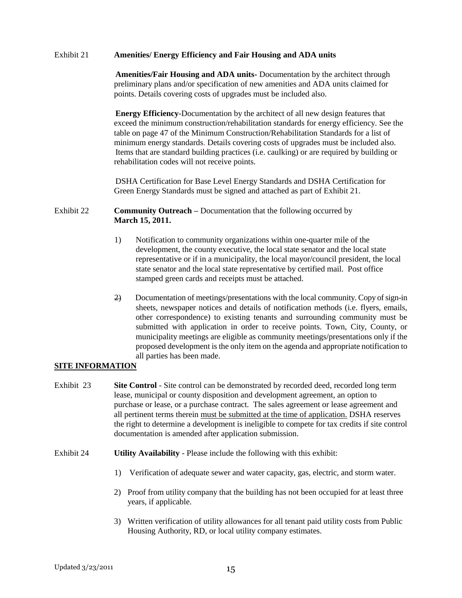#### Exhibit 21 **Amenities/ Energy Efficiency and Fair Housing and ADA units**

**Amenities/Fair Housing and ADA units-** Documentation by the architect through preliminary plans and/or specification of new amenities and ADA units claimed for points. Details covering costs of upgrades must be included also.

**Energy Efficiency**-Documentation by the architect of all new design features that exceed the minimum construction/rehabilitation standards for energy efficiency. See the table on page 47 of the Minimum Construction/Rehabilitation Standards for a list of minimum energy standards. Details covering costs of upgrades must be included also. Items that are standard building practices (i.e. caulking) or are required by building or rehabilitation codes will not receive points.

DSHA Certification for Base Level Energy Standards and DSHA Certification for Green Energy Standards must be signed and attached as part of Exhibit 21.

Exhibit 22 **Community Outreach –** Documentation that the following occurred by **March 15, 2011.**

- 1) Notification to community organizations within one-quarter mile of the development, the county executive, the local state senator and the local state representative or if in a municipality, the local mayor/council president, the local state senator and the local state representative by certified mail. Post office stamped green cards and receipts must be attached.
- 2) Documentation of meetings/presentations with the local community. Copy of sign-in sheets, newspaper notices and details of notification methods (i.e. flyers, emails, other correspondence) to existing tenants and surrounding community must be submitted with application in order to receive points. Town, City, County, or municipality meetings are eligible as community meetings/presentations only if the proposed development is the only item on the agenda and appropriate notification to all parties has been made.

#### **SITE INFORMATION**

- Exhibit 23 **Site Control** Site control can be demonstrated by recorded deed, recorded long term lease, municipal or county disposition and development agreement, an option to purchase or lease, or a purchase contract. The sales agreement or lease agreement and all pertinent terms therein must be submitted at the time of application. DSHA reserves the right to determine a development is ineligible to compete for tax credits if site control documentation is amended after application submission.
- Exhibit 24 **Utility Availability** Please include the following with this exhibit:
	- 1) Verification of adequate sewer and water capacity, gas, electric, and storm water.
	- 2) Proof from utility company that the building has not been occupied for at least three years, if applicable.
	- 3) Written verification of utility allowances for all tenant paid utility costs from Public Housing Authority, RD, or local utility company estimates.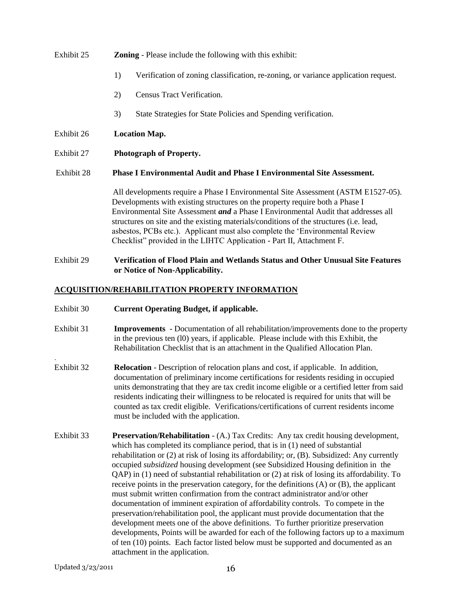# Exhibit 25 **Zoning** - Please include the following with this exhibit: 1) Verification of zoning classification, re-zoning, or variance application request. 2) Census Tract Verification. 3) State Strategies for State Policies and Spending verification. Exhibit 26 **Location Map.** Exhibit 27 **Photograph of Property.** Exhibit 28 **Phase I Environmental Audit and Phase I Environmental Site Assessment.** All developments require a Phase I Environmental Site Assessment (ASTM E1527-05). Developments with existing structures on the property require both a Phase I Environmental Site Assessment *and* a Phase I Environmental Audit that addresses all structures on site and the existing materials/conditions of the structures (i.e. lead, asbestos, PCBs etc.). Applicant must also complete the "Environmental Review Checklist" provided in the LIHTC Application - Part II, Attachment F.

#### Exhibit 29 **Verification of Flood Plain and Wetlands Status and Other Unusual Site Features or Notice of Non-Applicability.**

### **ACQUISITION/REHABILITATION PROPERTY INFORMATION**

- Exhibit 30 **Current Operating Budget, if applicable.**
- Exhibit 31 **Improvements** Documentation of all rehabilitation/improvements done to the property in the previous ten (l0) years, if applicable. Please include with this Exhibit, the Rehabilitation Checklist that is an attachment in the Qualified Allocation Plan.
- Exhibit 32 **Relocation** Description of relocation plans and cost, if applicable. In addition, documentation of preliminary income certifications for residents residing in occupied units demonstrating that they are tax credit income eligible or a certified letter from said residents indicating their willingness to be relocated is required for units that will be counted as tax credit eligible. Verifications/certifications of current residents income must be included with the application.
- Exhibit 33 **Preservation/Rehabilitation**  (A.) Tax Credits: Any tax credit housing development, which has completed its compliance period, that is in (1) need of substantial rehabilitation or (2) at risk of losing its affordability; or, (B). Subsidized: Any currently occupied *subsidized* housing development (see Subsidized Housing definition in the QAP) in (1) need of substantial rehabilitation or (2) at risk of losing its affordability. To receive points in the preservation category, for the definitions (A) or (B), the applicant must submit written confirmation from the contract administrator and/or other documentation of imminent expiration of affordability controls. To compete in the preservation/rehabilitation pool, the applicant must provide documentation that the development meets one of the above definitions. To further prioritize preservation developments, Points will be awarded for each of the following factors up to a maximum of ten (10) points. Each factor listed below must be supported and documented as an attachment in the application.

.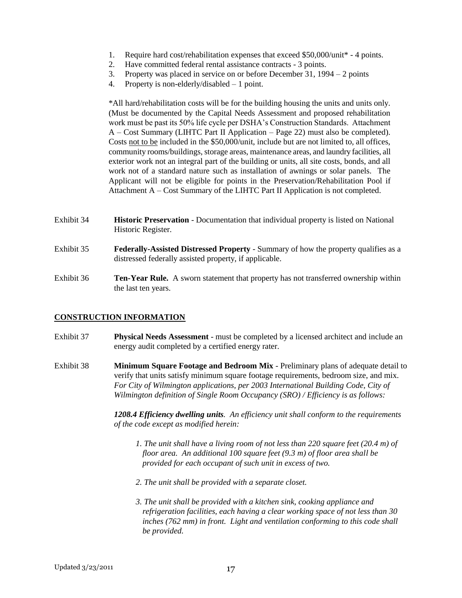- 1. Require hard cost/rehabilitation expenses that exceed \$50,000/unit\* 4 points.
- 2. Have committed federal rental assistance contracts 3 points.
- 3. Property was placed in service on or before December 31, 1994 2 points
- 4. Property is non-elderly/disabled 1 point.

\*All hard/rehabilitation costs will be for the building housing the units and units only. (Must be documented by the Capital Needs Assessment and proposed rehabilitation work must be past its 50% life cycle per DSHA"s Construction Standards. Attachment A – Cost Summary (LIHTC Part II Application – Page 22) must also be completed). Costs not to be included in the \$50,000/unit, include but are not limited to, all offices, community rooms/buildings, storage areas, maintenance areas, and laundry facilities, all exterior work not an integral part of the building or units, all site costs, bonds, and all work not of a standard nature such as installation of awnings or solar panels. The Applicant will not be eligible for points in the Preservation/Rehabilitation Pool if Attachment A – Cost Summary of the LIHTC Part II Application is not completed.

- Exhibit 34 **Historic Preservation**  Documentation that individual property is listed on National Historic Register.
- Exhibit 35 **Federally-Assisted Distressed Property** Summary of how the property qualifies as a distressed federally assisted property, if applicable.
- Exhibit 36 **Ten-Year Rule.** A sworn statement that property has not transferred ownership within the last ten years.

#### **CONSTRUCTION INFORMATION**

- Exhibit 37 **Physical Needs Assessment** must be completed by a licensed architect and include an energy audit completed by a certified energy rater.
- Exhibit 38 **Minimum Square Footage and Bedroom Mix** Preliminary plans of adequate detail to verify that units satisfy minimum square footage requirements, bedroom size, and mix. *For City of Wilmington applications, per 2003 International Building Code, City of Wilmington definition of Single Room Occupancy (SRO) / Efficiency is as follows:*

*1208.4 Efficiency dwelling units. An efficiency unit shall conform to the requirements of the code except as modified herein:*

- *1. The unit shall have a living room of not less than 220 square feet (20.4 m) of floor area. An additional 100 square feet (9.3 m) of floor area shall be provided for each occupant of such unit in excess of two.*
- *2. The unit shall be provided with a separate closet.*
- *3. The unit shall be provided with a kitchen sink, cooking appliance and refrigeration facilities, each having a clear working space of not less than 30 inches (762 mm) in front. Light and ventilation conforming to this code shall be provided.*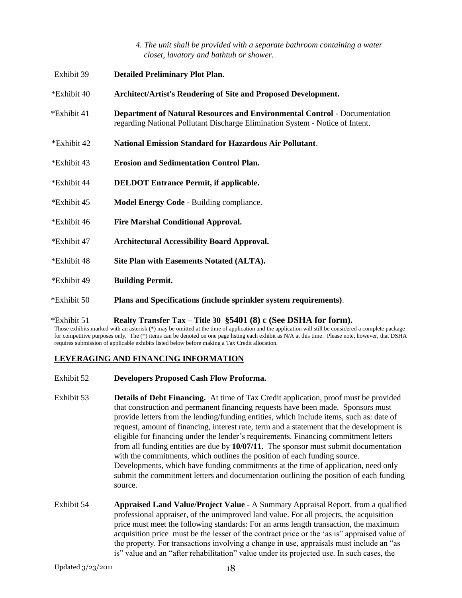*4. The unit shall be provided with a separate bathroom containing a water closet, lavatory and bathtub or shower.*

| Exhibit 39  | <b>Detailed Preliminary Plot Plan.</b>                                                                                                                            |
|-------------|-------------------------------------------------------------------------------------------------------------------------------------------------------------------|
| *Exhibit 40 | <b>Architect/Artist's Rendering of Site and Proposed Development.</b>                                                                                             |
| *Exhibit 41 | <b>Department of Natural Resources and Environmental Control - Documentation</b><br>regarding National Pollutant Discharge Elimination System - Notice of Intent. |
| *Exhibit 42 | <b>National Emission Standard for Hazardous Air Pollutant.</b>                                                                                                    |
| *Exhibit 43 | <b>Erosion and Sedimentation Control Plan.</b>                                                                                                                    |
| *Exhibit 44 | <b>DELDOT Entrance Permit, if applicable.</b>                                                                                                                     |
| *Exhibit 45 | Model Energy Code - Building compliance.                                                                                                                          |
| *Exhibit 46 | <b>Fire Marshal Conditional Approval.</b>                                                                                                                         |
| *Exhibit 47 | <b>Architectural Accessibility Board Approval.</b>                                                                                                                |
| *Exhibit 48 | Site Plan with Easements Notated (ALTA).                                                                                                                          |
| *Exhibit 49 | <b>Building Permit.</b>                                                                                                                                           |
| *Exhibit 50 | Plans and Specifications (include sprinkler system requirements).                                                                                                 |
|             |                                                                                                                                                                   |

#### \*Exhibit 51 **Realty Transfer Tax – Title 30 §5401 (8) c (See DSHA for form).**

Those exhibits marked with an asterisk (\*) may be omitted at the time of application and the application will still be considered a complete package for competitive purposes only. The (\*) items can be denoted on one page listing each exhibit as N/A at this time. Please note, however, that DSHA requires submission of applicable exhibits listed below before making a Tax Credit allocation.

#### **LEVERAGING AND FINANCING INFORMATION**

- Exhibit 52 **Developers Proposed Cash Flow Proforma.**
- Exhibit 53 **Details of Debt Financing.** At time of Tax Credit application, proof must be provided that construction and permanent financing requests have been made. Sponsors must provide letters from the lending/funding entities, which include items, such as: date of request, amount of financing, interest rate, term and a statement that the development is eligible for financing under the lender"s requirements. Financing commitment letters from all funding entities are due by **10/07/11.** The sponsor must submit documentation with the commitments, which outlines the position of each funding source. Developments, which have funding commitments at the time of application, need only submit the commitment letters and documentation outlining the position of each funding source.
- Exhibit 54 **Appraised Land Value/Project Value** A Summary Appraisal Report, from a qualified professional appraiser, of the unimproved land value. For all projects, the acquisition price must meet the following standards: For an arms length transaction, the maximum acquisition price must be the lesser of the contract price or the "as is" appraised value of the property. For transactions involving a change in use, appraisals must include an "as is" value and an "after rehabilitation" value under its projected use. In such cases, the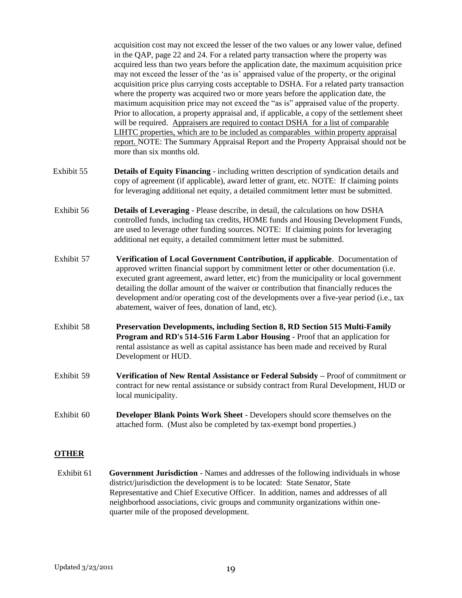acquisition cost may not exceed the lesser of the two values or any lower value, defined in the QAP, page 22 and 24. For a related party transaction where the property was acquired less than two years before the application date, the maximum acquisition price may not exceed the lesser of the "as is" appraised value of the property, or the original acquisition price plus carrying costs acceptable to DSHA. For a related party transaction where the property was acquired two or more years before the application date, the maximum acquisition price may not exceed the "as is" appraised value of the property. Prior to allocation, a property appraisal and, if applicable, a copy of the settlement sheet will be required. Appraisers are required to contact DSHA for a list of comparable LIHTC properties, which are to be included as comparables within property appraisal report. NOTE: The Summary Appraisal Report and the Property Appraisal should not be more than six months old.

- Exhibit 55 **Details of Equity Financing** including written description of syndication details and copy of agreement (if applicable), award letter of grant, etc. NOTE: If claiming points for leveraging additional net equity, a detailed commitment letter must be submitted.
- Exhibit 56 **Details of Leveraging** Please describe, in detail, the calculations on how DSHA controlled funds, including tax credits, HOME funds and Housing Development Funds, are used to leverage other funding sources. NOTE: If claiming points for leveraging additional net equity, a detailed commitment letter must be submitted.
- Exhibit 57 **Verification of Local Government Contribution, if applicable**. Documentation of approved written financial support by commitment letter or other documentation (i.e. executed grant agreement, award letter, etc) from the municipality or local government detailing the dollar amount of the waiver or contribution that financially reduces the development and/or operating cost of the developments over a five-year period (i.e., tax abatement, waiver of fees, donation of land, etc).
- Exhibit 58 **Preservation Developments, including Section 8, RD Section 515 Multi-Family Program and RD's 514-516 Farm Labor Housing** - Proof that an application for rental assistance as well as capital assistance has been made and received by Rural Development or HUD.
- Exhibit 59 **Verification of New Rental Assistance or Federal Subsidy –** Proof of commitment or contract for new rental assistance or subsidy contract from Rural Development, HUD or local municipality.
- Exhibit 60 **Developer Blank Points Work Sheet** Developers should score themselves on the attached form. (Must also be completed by tax-exempt bond properties.)

#### **OTHER**

Exhibit 61 **Government Jurisdiction** - Names and addresses of the following individuals in whose district/jurisdiction the development is to be located: State Senator, State Representative and Chief Executive Officer. In addition, names and addresses of all neighborhood associations, civic groups and community organizations within one quarter mile of the proposed development.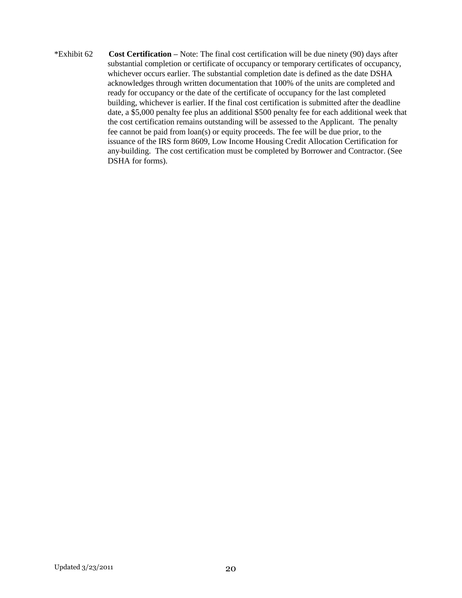\*Exhibit 62 **Cost Certification –** Note: The final cost certification will be due ninety (90) days after substantial completion or certificate of occupancy or temporary certificates of occupancy, whichever occurs earlier. The substantial completion date is defined as the date DSHA acknowledges through written documentation that 100% of the units are completed and ready for occupancy or the date of the certificate of occupancy for the last completed building, whichever is earlier. If the final cost certification is submitted after the deadline date, a \$5,000 penalty fee plus an additional \$500 penalty fee for each additional week that the cost certification remains outstanding will be assessed to the Applicant. The penalty fee cannot be paid from loan(s) or equity proceeds. The fee will be due prior, to the issuance of the IRS form 8609, Low Income Housing Credit Allocation Certification for any building. The cost certification must be completed by Borrower and Contractor. (See DSHA for forms).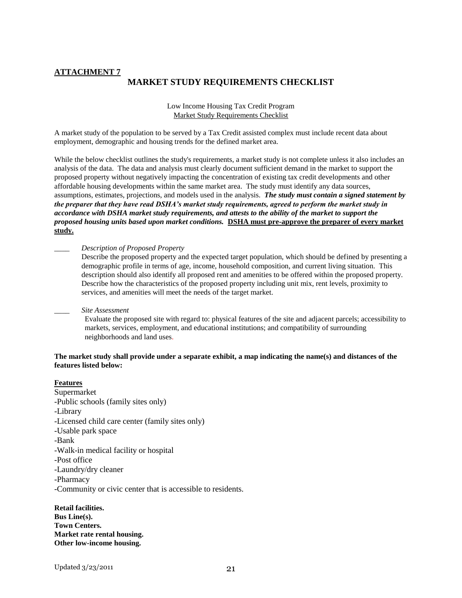#### **ATTACHMENT 7 MARKET STUDY REQUIREMENTS CHECKLIST**

Low Income Housing Tax Credit Program Market Study Requirements Checklist

A market study of the population to be served by a Tax Credit assisted complex must include recent data about employment, demographic and housing trends for the defined market area.

While the below checklist outlines the study's requirements, a market study is not complete unless it also includes an analysis of the data. The data and analysis must clearly document sufficient demand in the market to support the proposed property without negatively impacting the concentration of existing tax credit developments and other affordable housing developments within the same market area. The study must identify any data sources, assumptions, estimates, projections, and models used in the analysis. *The study must contain a signed statement by the preparer that they have read DSHA's market study requirements, agreed to perform the market study in accordance with DSHA market study requirements, and attests to the ability of the market to support the proposed housing units based upon market conditions.* **DSHA must pre-approve the preparer of every market study.**

\_\_\_\_ *Description of Proposed Property*

Describe the proposed property and the expected target population, which should be defined by presenting a demographic profile in terms of age, income, household composition, and current living situation. This description should also identify all proposed rent and amenities to be offered within the proposed property. Describe how the characteristics of the proposed property including unit mix, rent levels, proximity to services, and amenities will meet the needs of the target market.

\_\_\_\_ *Site Assessment*

Evaluate the proposed site with regard to: physical features of the site and adjacent parcels; accessibility to markets, services, employment, and educational institutions; and compatibility of surrounding neighborhoods and land uses.

#### **The market study shall provide under a separate exhibit, a map indicating the name(s) and distances of the features listed below:**

#### **Features**

Supermarket -Public schools (family sites only) -Library -Licensed child care center (family sites only) -Usable park space -Bank -Walk-in medical facility or hospital -Post office -Laundry/dry cleaner -Pharmacy

-Community or civic center that is accessible to residents.

**Retail facilities. Bus Line(s). Town Centers. Market rate rental housing. Other low-income housing.**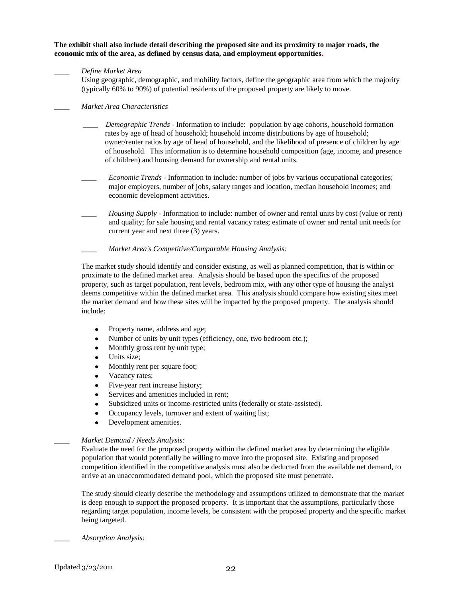**The exhibit shall also include detail describing the proposed site and its proximity to major roads, the economic mix of the area, as defined by census data, and employment opportunities.**

#### \_\_\_\_ *Define Market Area*

Using geographic, demographic, and mobility factors, define the geographic area from which the majority (typically 60% to 90%) of potential residents of the proposed property are likely to move.

#### \_\_\_\_ *Market Area Characteristics*

- \_\_\_\_ *Demographic Trends* Information to include: population by age cohorts, household formation rates by age of head of household; household income distributions by age of household; owner/renter ratios by age of head of household, and the likelihood of presence of children by age of household. This information is to determine household composition (age, income, and presence of children) and housing demand for ownership and rental units.
- *Economic Trends* Information to include: number of jobs by various occupational categories; major employers, number of jobs, salary ranges and location, median household incomes; and economic development activities.
- *Housing Supply* Information to include: number of owner and rental units by cost (value or rent) and quality; for sale housing and rental vacancy rates; estimate of owner and rental unit needs for current year and next three (3) years.
- \_\_\_\_ *Market Area's Competitive/Comparable Housing Analysis:*

The market study should identify and consider existing, as well as planned competition, that is within or proximate to the defined market area. Analysis should be based upon the specifics of the proposed property, such as target population, rent levels, bedroom mix, with any other type of housing the analyst deems competitive within the defined market area. This analysis should compare how existing sites meet the market demand and how these sites will be impacted by the proposed property. The analysis should include:

- Property name, address and age;  $\bullet$
- $\bullet$ Number of units by unit types (efficiency, one, two bedroom etc.);
- $\bullet$ Monthly gross rent by unit type;
- Units size;  $\bullet$
- Monthly rent per square foot;
- Vacancy rates;  $\bullet$
- $\bullet$ Five-year rent increase history;
- Services and amenities included in rent;  $\bullet$
- Subsidized units or income-restricted units (federally or state-assisted).  $\bullet$
- Occupancy levels, turnover and extent of waiting list;  $\bullet$
- $\bullet$ Development amenities.

#### \_\_\_\_ *Market Demand / Needs Analysis:*

Evaluate the need for the proposed property within the defined market area by determining the eligible population that would potentially be willing to move into the proposed site. Existing and proposed competition identified in the competitive analysis must also be deducted from the available net demand, to arrive at an unaccommodated demand pool, which the proposed site must penetrate.

The study should clearly describe the methodology and assumptions utilized to demonstrate that the market is deep enough to support the proposed property. It is important that the assumptions, particularly those regarding target population, income levels, be consistent with the proposed property and the specific market being targeted.

*\_\_\_\_ Absorption Analysis:*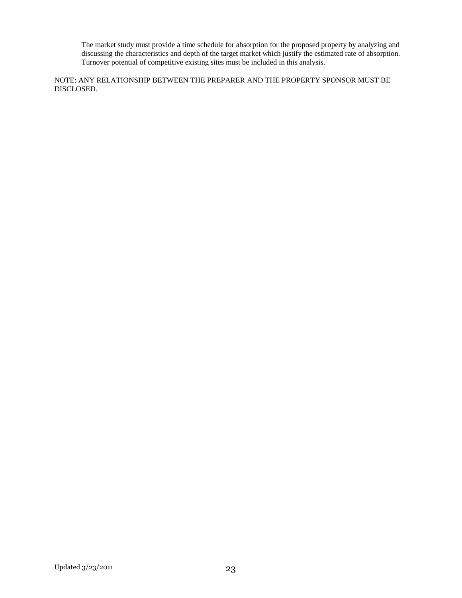The market study must provide a time schedule for absorption for the proposed property by analyzing and discussing the characteristics and depth of the target market which justify the estimated rate of absorption. Turnover potential of competitive existing sites must be included in this analysis.

NOTE: ANY RELATIONSHIP BETWEEN THE PREPARER AND THE PROPERTY SPONSOR MUST BE DISCLOSED.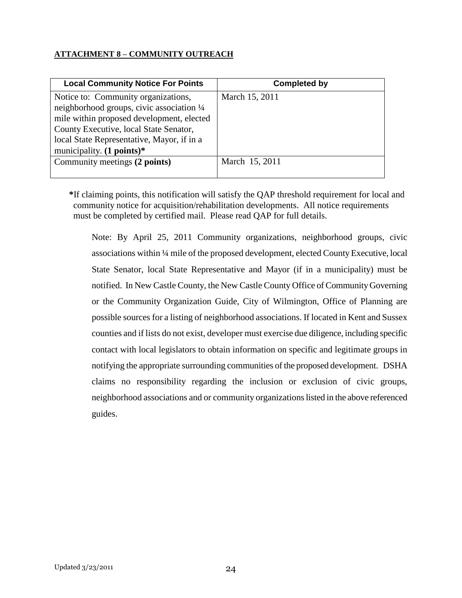# **ATTACHMENT 8 – COMMUNITY OUTREACH**

| <b>Local Community Notice For Points</b>   | <b>Completed by</b> |
|--------------------------------------------|---------------------|
| Notice to: Community organizations,        | March 15, 2011      |
| neighborhood groups, civic association 1/4 |                     |
| mile within proposed development, elected  |                     |
| County Executive, local State Senator,     |                     |
| local State Representative, Mayor, if in a |                     |
| municipality. $(1 \text{ points})^*$       |                     |
| Community meetings (2 points)              | March 15, 2011      |
|                                            |                     |

**\***If claiming points, this notification will satisfy the QAP threshold requirement for local and community notice for acquisition/rehabilitation developments. All notice requirements must be completed by certified mail. Please read QAP for full details.

Note: By April 25, 2011 Community organizations, neighborhood groups, civic associations within ¼ mile of the proposed development, elected County Executive, local State Senator, local State Representative and Mayor (if in a municipality) must be notified. In New Castle County, the New Castle County Office of Community Governing or the Community Organization Guide, City of Wilmington, Office of Planning are possible sources for a listing of neighborhood associations. If located in Kent and Sussex counties and if lists do not exist, developer must exercise due diligence, including specific contact with local legislators to obtain information on specific and legitimate groups in notifying the appropriate surrounding communities of the proposed development. DSHA claims no responsibility regarding the inclusion or exclusion of civic groups, neighborhood associations and or community organizations listed in the above referenced guides.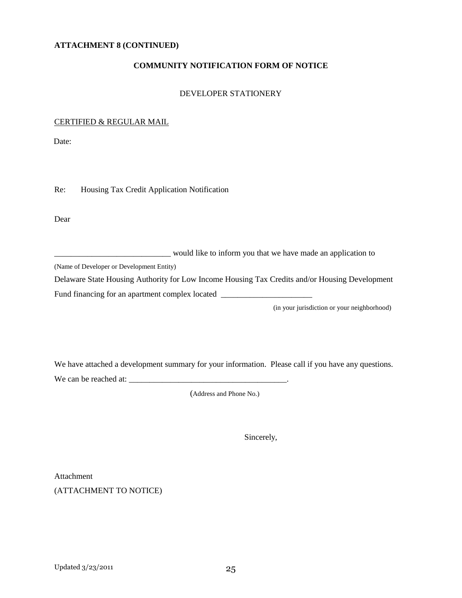#### **ATTACHMENT 8 (CONTINUED)**

#### **COMMUNITY NOTIFICATION FORM OF NOTICE**

#### DEVELOPER STATIONERY

#### CERTIFIED & REGULAR MAIL

Date:

Re: Housing Tax Credit Application Notification

Dear

\_\_\_\_\_\_\_\_\_\_\_\_\_\_\_\_\_\_\_\_\_\_\_\_\_\_\_\_ would like to inform you that we have made an application to

(Name of Developer or Development Entity)

Delaware State Housing Authority for Low Income Housing Tax Credits and/or Housing Development

Fund financing for an apartment complex located \_\_\_\_\_\_\_\_\_\_\_\_\_\_\_\_\_\_\_\_\_\_\_\_\_\_\_\_\_\_\_\_\_

(in your jurisdiction or your neighborhood)

We have attached a development summary for your information. Please call if you have any questions.

We can be reached at: \_\_\_\_\_\_\_\_\_\_\_\_\_\_\_\_\_\_\_\_\_\_\_\_\_\_\_\_\_\_\_\_\_\_\_\_\_\_.

(Address and Phone No.)

Sincerely,

Attachment (ATTACHMENT TO NOTICE)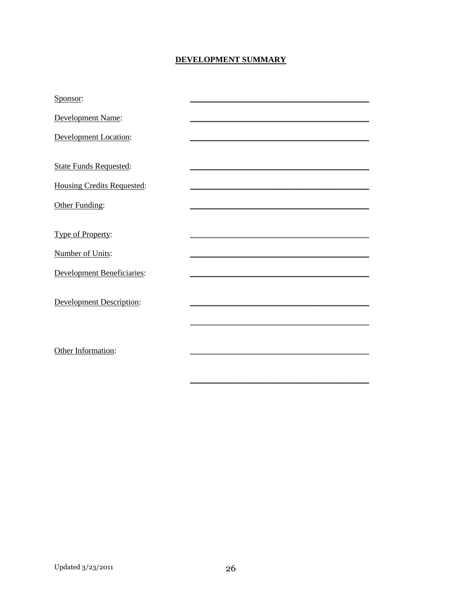# DEVELOPMENT SUMMARY

| Sponsor:                          |  |
|-----------------------------------|--|
| Development Name:                 |  |
| <b>Development Location:</b>      |  |
|                                   |  |
| <b>State Funds Requested:</b>     |  |
| <b>Housing Credits Requested:</b> |  |
| Other Funding:                    |  |
|                                   |  |
| Type of Property:                 |  |
| <b>Number of Units:</b>           |  |
| <b>Development Beneficiaries:</b> |  |
|                                   |  |
| Development Description:          |  |
|                                   |  |
|                                   |  |
| Other Information:                |  |
|                                   |  |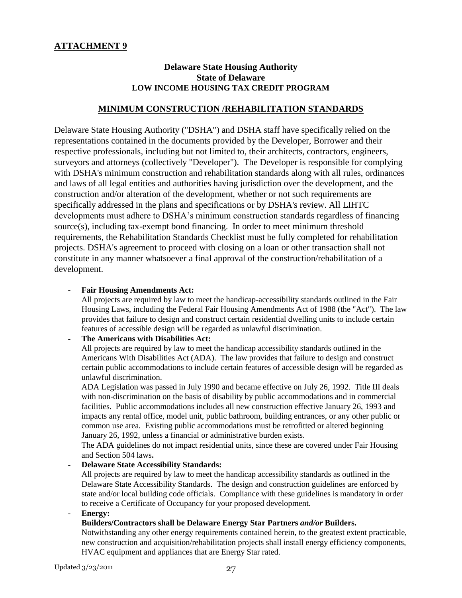# **Delaware State Housing Authority State of Delaware LOW INCOME HOUSING TAX CREDIT PROGRAM**

#### **MINIMUM CONSTRUCTION /REHABILITATION STANDARDS**

Delaware State Housing Authority ("DSHA") and DSHA staff have specifically relied on the representations contained in the documents provided by the Developer, Borrower and their respective professionals, including but not limited to, their architects, contractors, engineers, surveyors and attorneys (collectively "Developer"). The Developer is responsible for complying with DSHA's minimum construction and rehabilitation standards along with all rules, ordinances and laws of all legal entities and authorities having jurisdiction over the development, and the construction and/or alteration of the development, whether or not such requirements are specifically addressed in the plans and specifications or by DSHA's review. All LIHTC developments must adhere to DSHA's minimum construction standards regardless of financing source(s), including tax-exempt bond financing. In order to meet minimum threshold requirements, the Rehabilitation Standards Checklist must be fully completed for rehabilitation projects. DSHA's agreement to proceed with closing on a loan or other transaction shall not constitute in any manner whatsoever a final approval of the construction/rehabilitation of a development.

#### **- Fair Housing Amendments Act:**

All projects are required by law to meet the handicap-accessibility standards outlined in the Fair Housing Laws, including the Federal Fair Housing Amendments Act of 1988 (the "Act"). The law provides that failure to design and construct certain residential dwelling units to include certain features of accessible design will be regarded as unlawful discrimination.

#### **- The Americans with Disabilities Act:**

All projects are required by law to meet the handicap accessibility standards outlined in the Americans With Disabilities Act (ADA). The law provides that failure to design and construct certain public accommodations to include certain features of accessible design will be regarded as unlawful discrimination.

ADA Legislation was passed in July 1990 and became effective on July 26, 1992. Title III deals with non-discrimination on the basis of disability by public accommodations and in commercial facilities. Public accommodations includes all new construction effective January 26, 1993 and impacts any rental office, model unit, public bathroom, building entrances, or any other public or common use area. Existing public accommodations must be retrofitted or altered beginning January 26, 1992, unless a financial or administrative burden exists.

The ADA guidelines do not impact residential units, since these are covered under Fair Housing and Section 504 laws**.**

#### **- Delaware State Accessibility Standards:**

All projects are required by law to meet the handicap accessibility standards as outlined in the Delaware State Accessibility Standards. The design and construction guidelines are enforced by state and/or local building code officials. Compliance with these guidelines is mandatory in order to receive a Certificate of Occupancy for your proposed development.

**- Energy:** 

#### **Builders/Contractors shall be Delaware Energy Star Partners** *and/or* **Builders.**

Notwithstanding any other energy requirements contained herein, to the greatest extent practicable, new construction and acquisition/rehabilitation projects shall install energy efficiency components, HVAC equipment and appliances that are Energy Star rated.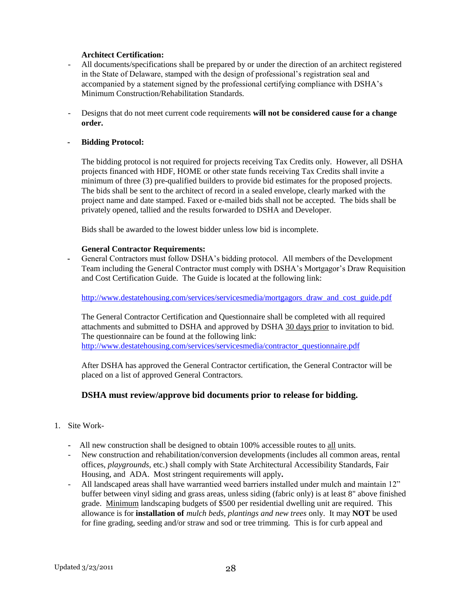#### **Architect Certification:**

- All documents/specifications shall be prepared by or under the direction of an architect registered in the State of Delaware, stamped with the design of professional's registration seal and accompanied by a statement signed by the professional certifying compliance with DSHA"s Minimum Construction/Rehabilitation Standards.
- Designs that do not meet current code requirements **will not be considered cause for a change order.**

#### **- Bidding Protocol:**

The bidding protocol is not required for projects receiving Tax Credits only. However, all DSHA projects financed with HDF, HOME or other state funds receiving Tax Credits shall invite a minimum of three (3) pre-qualified builders to provide bid estimates for the proposed projects. The bids shall be sent to the architect of record in a sealed envelope, clearly marked with the project name and date stamped. Faxed or e-mailed bids shall not be accepted. The bids shall be privately opened, tallied and the results forwarded to DSHA and Developer.

Bids shall be awarded to the lowest bidder unless low bid is incomplete.

#### **General Contractor Requirements:**

**-** General Contractors must follow DSHA"s bidding protocol. All members of the Development Team including the General Contractor must comply with DSHA"s Mortgagor"s Draw Requisition and Cost Certification Guide. The Guide is located at the following link:

#### [http://www.destatehousing.com/services/servicesmedia/mortgagors\\_draw\\_and\\_cost\\_guide.pdf](http://www.destatehousing.com/services/servicesmedia/mortgagors_draw_and_cost_guide.pdf)

The General Contractor Certification and Questionnaire shall be completed with all required attachments and submitted to DSHA and approved by DSHA 30 days prior to invitation to bid. The questionnaire can be found at the following link: [http://www.destatehousing.com/services/servicesmedia/contractor\\_questionnaire.pdf](http://www.destatehousing.com/services/servicesmedia/contractor_questionnaire.pdf)

After DSHA has approved the General Contractor certification, the General Contractor will be placed on a list of approved General Contractors.

### **DSHA must review/approve bid documents prior to release for bidding.**

- 1. Site Work-
	- **-** All new construction shall be designed to obtain 100% accessible routes to all units.
	- New construction and rehabilitation/conversion developments (includes all common areas, rental offices, *playgrounds,* etc.) shall comply with State Architectural Accessibility Standards, Fair Housing, and ADA. Most stringent requirements will apply**.**
	- All landscaped areas shall have warrantied weed barriers installed under mulch and maintain 12" buffer between vinyl siding and grass areas, unless siding (fabric only) is at least 8" above finished grade. Minimum landscaping budgets of \$500 per residential dwelling unit are required. This allowance is for **installation of** *mulch beds, plantings and new trees* only. It may **NOT** be used for fine grading, seeding and/or straw and sod or tree trimming. This is for curb appeal and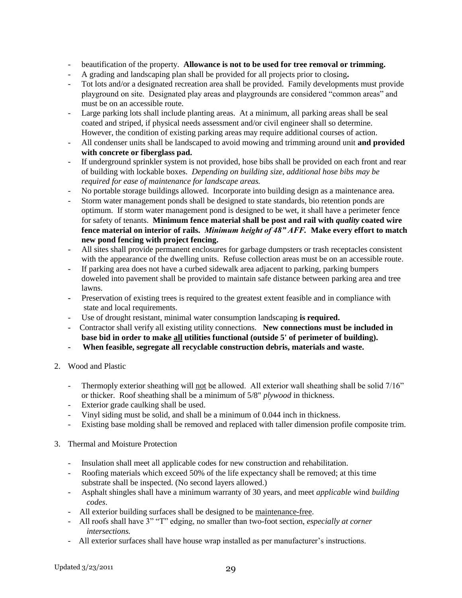- beautification of the property. **Allowance is not to be used for tree removal or trimming.**
- A grading and landscaping plan shall be provided for all projects prior to closing**.**
- Tot lots and/or a designated recreation area shall be provided. Family developments must provide playground on site. Designated play areas and playgrounds are considered "common areas" and must be on an accessible route.
- Large parking lots shall include planting areas. At a minimum, all parking areas shall be seal coated and striped, if physical needs assessment and/or civil engineer shall so determine. However, the condition of existing parking areas may require additional courses of action.
- All condenser units shall be landscaped to avoid mowing and trimming around unit **and provided with concrete or fiberglass pad.**
- If underground sprinkler system is not provided, hose bibs shall be provided on each front and rear of building with lockable boxes. *Depending on building size, additional hose bibs may be required for ease of maintenance for landscape areas.*
- No portable storage buildings allowed. Incorporate into building design as a maintenance area.
- Storm water management ponds shall be designed to state standards, bio retention ponds are optimum. If storm water management pond is designed to be wet, it shall have a perimeter fence for safety of tenants. **Minimum fence material shall be post and rail with** *quality* **coated wire fence material on interior of rails.** *Minimum height of 48" AFF.* **Make every effort to match new pond fencing with project fencing.**
- All sites shall provide permanent enclosures for garbage dumpsters or trash receptacles consistent with the appearance of the dwelling units. Refuse collection areas must be on an accessible route.
- If parking area does not have a curbed sidewalk area adjacent to parking, parking bumpers doweled into pavement shall be provided to maintain safe distance between parking area and tree lawns.
- **-** Preservation of existing trees is required to the greatest extent feasible and in compliance with state and local requirements.
- Use of drought resistant, minimal water consumption landscaping **is required.**
- Contractor shall verify all existing utility connections. **New connections must be included in base bid in order to make all utilities functional (outside 5' of perimeter of building).**
- **When feasible, segregate all recyclable construction debris, materials and waste.**
- 2. Wood and Plastic
	- Thermoply exterior sheathing will not be allowed. All exterior wall sheathing shall be solid 7/16" or thicker. Roof sheathing shall be a minimum of 5/8" *plywood* in thickness.
	- Exterior grade caulking shall be used.
	- Vinyl siding must be solid, and shall be a minimum of 0.044 inch in thickness.
	- Existing base molding shall be removed and replaced with taller dimension profile composite trim.
- 3. Thermal and Moisture Protection
	- Insulation shall meet all applicable codes for new construction and rehabilitation.
	- Roofing materials which exceed 50% of the life expectancy shall be removed; at this time substrate shall be inspected. (No second layers allowed.)
	- Asphalt shingles shall have a minimum warranty of 30 years, and meet *applicable* wind *building codes*.
	- All exterior building surfaces shall be designed to be maintenance-free.
	- All roofs shall have 3" "T" edging, no smaller than two-foot section*, especially at corner intersections.*
	- All exterior surfaces shall have house wrap installed as per manufacturer"s instructions.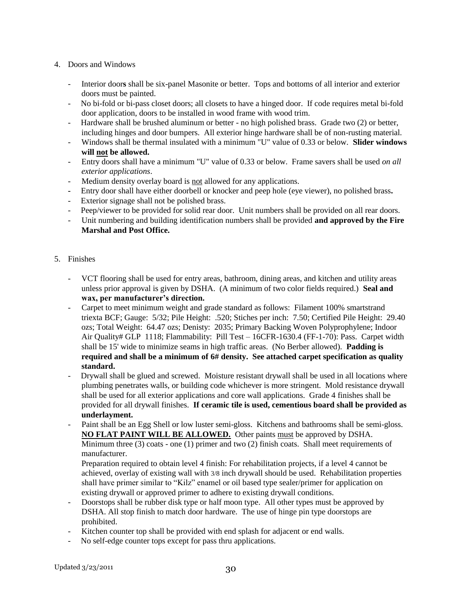- 4. Doors and Windows
	- Interior door**s** shall be six-panel Masonite or better. Tops and bottoms of all interior and exterior doors must be painted.
	- No bi-fold or bi-pass closet doors; all closets to have a hinged door. If code requires metal bi-fold door application, doors to be installed in wood frame with wood trim.
	- Hardware shall be brushed aluminum or better no high polished brass. Grade two (2) or better, including hinges and door bumpers. All exterior hinge hardware shall be of non-rusting material.
	- Windows shall be thermal insulated with a minimum "U" value of 0.33 or below. **Slider windows will not be allowed.**
	- Entry doors shall have a minimum "U" value of 0.33 or below. Frame savers shall be used *on all exterior applications*.
	- Medium density overlay board is not allowed for any applications.
	- Entry door shall have either doorbell or knocker and peep hole (eye viewer), no polished brass**.**
	- Exterior signage shall not be polished brass.
	- Peep/viewer to be provided for solid rear door. Unit numbers shall be provided on all rear doors.
	- Unit numbering and building identification numbers shall be provided **and approved by the Fire Marshal and Post Office.**
- 5. Finishes
	- VCT flooring shall be used for entry areas, bathroom, dining areas, and kitchen and utility areas unless prior approval is given by DSHA. (A minimum of two color fields required.) **Seal and wax, per manufacturer's direction.**
	- Carpet to meet minimum weight and grade standard as follows: Filament 100% smartstrand triexta BCF; Gauge: 5/32; Pile Height: .520; Stiches per inch: 7.50; Certified Pile Height: 29.40 ozs; Total Weight: 64.47 ozs; Denisty: 2035; Primary Backing Woven Polyprophylene; Indoor Air Quality# GLP 1118; Flammability: Pill Test – 16CFR-1630.4 (FF-1-70): Pass. Carpet width shall be 15' wide to minimize seams in high traffic areas. (No Berber allowed). **Padding is required and shall be a minimum of 6# density. See attached carpet specification as quality standard.**
	- Drywall shall be glued and screwed. Moisture resistant drywall shall be used in all locations where plumbing penetrates walls, or building code whichever is more stringent. Mold resistance drywall shall be used for all exterior applications and core wall applications. Grade 4 finishes shall be provided for all drywall finishes. **If ceramic tile is used, cementious board shall be provided as underlayment.**
	- Paint shall be an Egg Shell or low luster semi-gloss. Kitchens and bathrooms shall be semi-gloss. **NO FLAT PAINT WILL BE ALLOWED.** Other paints must be approved by DSHA. Minimum three (3) coats - one (1) primer and two (2) finish coats. Shall meet requirements of manufacturer.

Preparation required to obtain level 4 finish: For rehabilitation projects, if a level 4 cannot be achieved, overlay of existing wall with 3/8 inch drywall should be used. Rehabilitation properties shall have primer similar to "Kilz" enamel or oil based type sealer/primer for application on existing drywall or approved primer to adhere to existing drywall conditions.

- Doorstops shall be rubber disk type or half moon type. All other types must be approved by DSHA. All stop finish to match door hardware. The use of hinge pin type doorstops are prohibited.
- Kitchen counter top shall be provided with end splash for adjacent or end walls.
- No self-edge counter tops except for pass thru applications.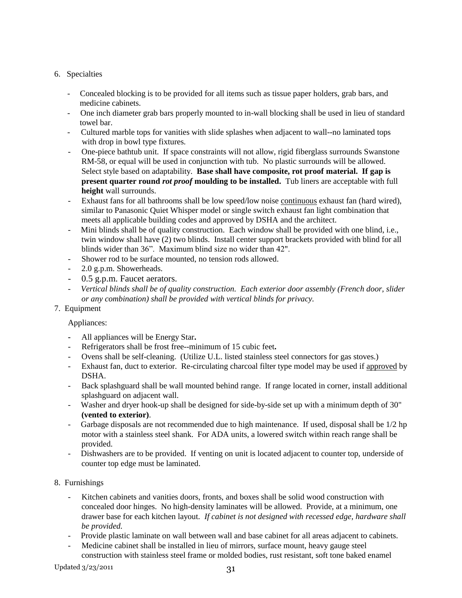### 6. Specialties

- Concealed blocking is to be provided for all items such as tissue paper holders, grab bars, and medicine cabinets.
- One inch diameter grab bars properly mounted to in-wall blocking shall be used in lieu of standard towel bar.
- Cultured marble tops for vanities with slide splashes when adjacent to wall--no laminated tops with drop in bowl type fixtures.
- One-piece bathtub unit. If space constraints will not allow, rigid fiberglass surrounds Swanstone RM-58, or equal will be used in conjunction with tub. No plastic surrounds will be allowed. Select style based on adaptability. **Base shall have composite, rot proof material. If gap is present quarter round** *rot proof* **moulding to be installed.** Tub liners are acceptable with full **height** wall surrounds.
- Exhaust fans for all bathrooms shall be low speed/low noise continuous exhaust fan (hard wired), similar to Panasonic Quiet Whisper model or single switch exhaust fan light combination that meets all applicable building codes and approved by DSHA and the architect.
- Mini blinds shall be of quality construction. Each window shall be provided with one blind, i.e., twin window shall have (2) two blinds. Install center support brackets provided with blind for all blinds wider than 36". Maximum blind size no wider than 42".
- Shower rod to be surface mounted, no tension rods allowed.
- 2.0 g.p.m. Showerheads.
- 0.5 g.p.m. Faucet aerators.
- *Vertical blinds shall be of quality construction. Each exterior door assembly (French door, slider or any combination) shall be provided with vertical blinds for privacy.*

### 7. Equipment

### Appliances:

- **-** All appliances will be Energy Star**.**
- Refrigerators shall be frost free--minimum of 15 cubic feet**.**
- Ovens shall be self-cleaning. (Utilize U.L. listed stainless steel connectors for gas stoves.)
- Exhaust fan, duct to exterior. Re-circulating charcoal filter type model may be used if approved by DSHA.
- Back splashguard shall be wall mounted behind range. If range located in corner, install additional splashguard on adjacent wall.
- Washer and dryer hook-up shall be designed for side-by-side set up with a minimum depth of 30" **(vented to exterior)**.
- Garbage disposals are not recommended due to high maintenance. If used, disposal shall be 1/2 hp motor with a stainless steel shank. For ADA units, a lowered switch within reach range shall be provided.
- Dishwashers are to be provided. If venting on unit is located adjacent to counter top, underside of counter top edge must be laminated.
- 8. Furnishings
	- Kitchen cabinets and vanities doors, fronts, and boxes shall be solid wood construction with concealed door hinges. No high-density laminates will be allowed. Provide, at a minimum, one drawer base for each kitchen layout. *If cabinet is not designed with recessed edge, hardware shall be provided.*
	- Provide plastic laminate on wall between wall and base cabinet for all areas adjacent to cabinets.
	- Medicine cabinet shall be installed in lieu of mirrors, surface mount, heavy gauge steel construction with stainless steel frame or molded bodies, rust resistant, soft tone baked enamel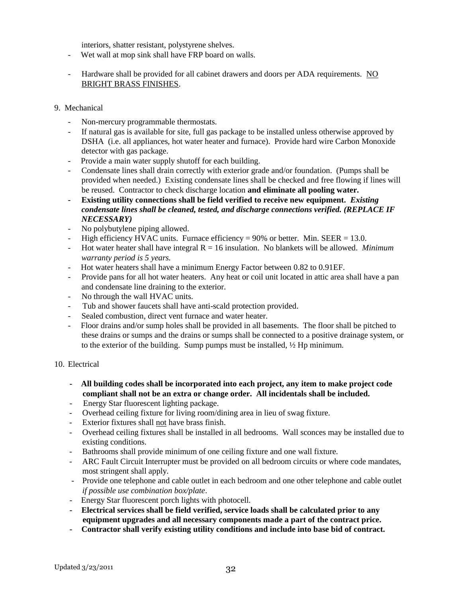interiors, shatter resistant, polystyrene shelves.

- Wet wall at mop sink shall have FRP board on walls.
- Hardware shall be provided for all cabinet drawers and doors per ADA requirements. NO BRIGHT BRASS FINISHES.

#### 9. Mechanical

- Non-mercury programmable thermostats.
- If natural gas is available for site, full gas package to be installed unless otherwise approved by DSHA (i.e. all appliances, hot water heater and furnace). Provide hard wire Carbon Monoxide detector with gas package.
- Provide a main water supply shutoff for each building.
- Condensate lines shall drain correctly with exterior grade and/or foundation. (Pumps shall be provided when needed.) Existing condensate lines shall be checked and free flowing if lines will be reused. Contractor to check discharge location **and eliminate all pooling water.**
- **- Existing utility connections shall be field verified to receive new equipment.** *Existing condensate lines shall be cleaned, tested, and discharge connections verified. (REPLACE IF NECESSARY)*
- No polybutylene piping allowed.
- High efficiency HVAC units. Furnace efficiency =  $90\%$  or better. Min. SEER = 13.0.
- Hot water heater shall have integral R = 16 insulation. No blankets will be allowed. *Minimum warranty period is 5 years.*
- Hot water heaters shall have a minimum Energy Factor between 0.82 to 0.91EF.
- Provide pans for all hot water heaters. Any heat or coil unit located in attic area shall have a pan and condensate line draining to the exterior.
- No through the wall HVAC units.
- Tub and shower faucets shall have anti-scald protection provided.
- Sealed combustion, direct vent furnace and water heater.
- Floor drains and/or sump holes shall be provided in all basements. The floor shall be pitched to these drains or sumps and the drains or sumps shall be connected to a positive drainage system, or to the exterior of the building. Sump pumps must be installed, ½ Hp minimum.

#### 10. Electrical

- **All building codes shall be incorporated into each project, any item to make project code compliant shall not be an extra or change order. All incidentals shall be included.**
- Energy Star fluorescent lighting package.
- Overhead ceiling fixture for living room/dining area in lieu of swag fixture.
- Exterior fixtures shall not have brass finish.
- Overhead ceiling fixtures shall be installed in all bedrooms. Wall sconces may be installed due to existing conditions.
- Bathrooms shall provide minimum of one ceiling fixture and one wall fixture.
- ARC Fault Circuit Interrupter must be provided on all bedroom circuits or where code mandates, most stringent shall apply.
- Provide one telephone and cable outlet in each bedroom and one other telephone and cable outlet *if possible use combination box/plate*.
- Energy Star fluorescent porch lights with photocell.
- **- Electrical services shall be field verified, service loads shall be calculated prior to any equipment upgrades and all necessary components made a part of the contract price.**
- **- Contractor shall verify existing utility conditions and include into base bid of contract.**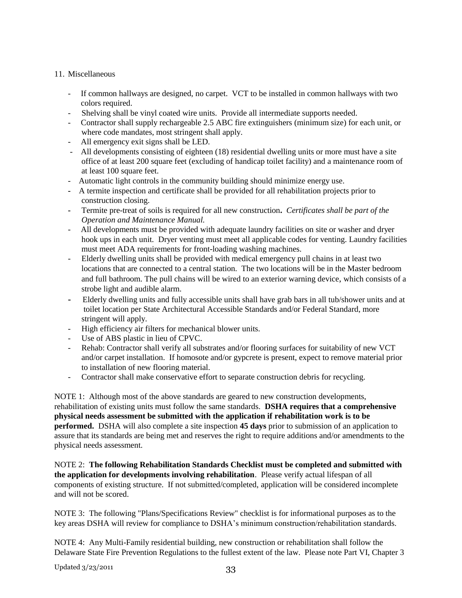#### 11. Miscellaneous

- If common hallways are designed, no carpet. VCT to be installed in common hallways with two colors required.
- Shelving shall be vinyl coated wire units. Provide all intermediate supports needed.
- Contractor shall supply rechargeable 2.5 ABC fire extinguishers (minimum size) for each unit, or where code mandates, most stringent shall apply.
- All emergency exit signs shall be LED.
- All developments consisting of eighteen (18) residential dwelling units or more must have a site office of at least 200 square feet (excluding of handicap toilet facility) and a maintenance room of at least 100 square feet.
- Automatic light controls in the community building should minimize energy use.
- A termite inspection and certificate shall be provided for all rehabilitation projects prior to construction closing.
- Termite pre-treat of soils is required for all new construction**.** *Certificates shall be part of the Operation and Maintenance Manual.*
- All developments must be provided with adequate laundry facilities on site or washer and dryer hook ups in each unit. Dryer venting must meet all applicable codes for venting. Laundry facilities must meet ADA requirements for front-loading washing machines.
- Elderly dwelling units shall be provided with medical emergency pull chains in at least two locations that are connected to a central station. The two locations will be in the Master bedroom and full bathroom. The pull chains will be wired to an exterior warning device, which consists of a strobe light and audible alarm.
- Elderly dwelling units and fully accessible units shall have grab bars in all tub/shower units and at toilet location per State Architectural Accessible Standards and/or Federal Standard, more stringent will apply.
- High efficiency air filters for mechanical blower units.
- Use of ABS plastic in lieu of CPVC.
- Rehab: Contractor shall verify all substrates and/or flooring surfaces for suitability of new VCT and/or carpet installation. If homosote and/or gypcrete is present, expect to remove material prior to installation of new flooring material.
- Contractor shall make conservative effort to separate construction debris for recycling.

NOTE 1: Although most of the above standards are geared to new construction developments, rehabilitation of existing units must follow the same standards. **DSHA requires that a comprehensive physical needs assessment be submitted with the application if rehabilitation work is to be performed.** DSHA will also complete a site inspection **45 days** prior to submission of an application to assure that its standards are being met and reserves the right to require additions and/or amendments to the physical needs assessment.

NOTE 2: **The following Rehabilitation Standards Checklist must be completed and submitted with the application for developments involving rehabilitation**. Please verify actual lifespan of all components of existing structure. If not submitted/completed, application will be considered incomplete and will not be scored.

NOTE 3: The following "Plans/Specifications Review" checklist is for informational purposes as to the key areas DSHA will review for compliance to DSHA"s minimum construction/rehabilitation standards.

NOTE 4: Any Multi-Family residential building, new construction or rehabilitation shall follow the Delaware State Fire Prevention Regulations to the fullest extent of the law. Please note Part VI, Chapter 3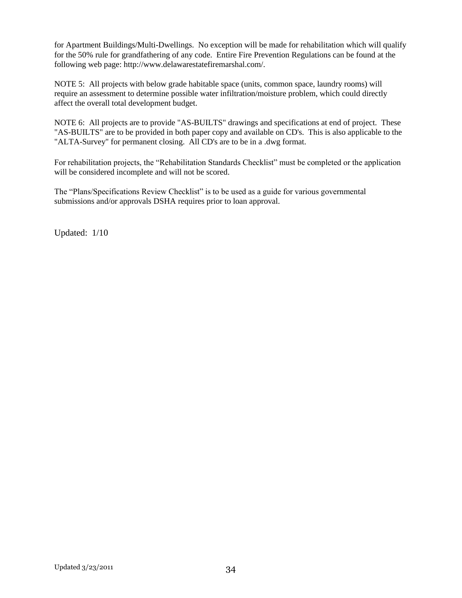for Apartment Buildings/Multi-Dwellings. No exception will be made for rehabilitation which will qualify for the 50% rule for grandfathering of any code. Entire Fire Prevention Regulations can be found at the following web page: http://www.delawarestatefiremarshal.com/.

NOTE 5: All projects with below grade habitable space (units, common space, laundry rooms) will require an assessment to determine possible water infiltration/moisture problem, which could directly affect the overall total development budget.

NOTE 6: All projects are to provide "AS-BUILTS" drawings and specifications at end of project. These "AS-BUILTS" are to be provided in both paper copy and available on CD's. This is also applicable to the "ALTA-Survey" for permanent closing. All CD's are to be in a .dwg format.

For rehabilitation projects, the "Rehabilitation Standards Checklist" must be completed or the application will be considered incomplete and will not be scored.

The "Plans/Specifications Review Checklist" is to be used as a guide for various governmental submissions and/or approvals DSHA requires prior to loan approval.

Updated: 1/10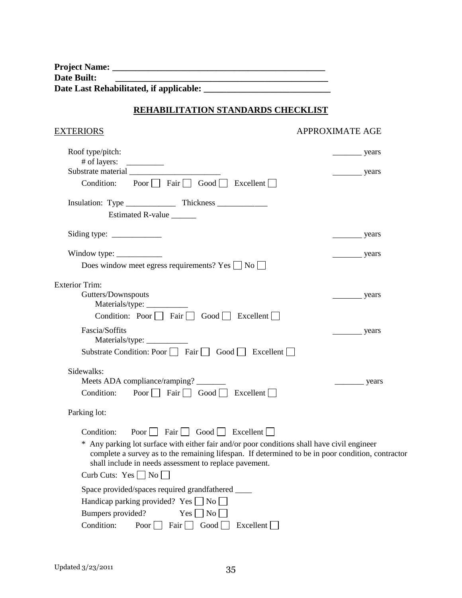| <b>Project Name:</b>                    |  |
|-----------------------------------------|--|
| Date Built:                             |  |
| Date Last Rehabilitated, if applicable: |  |

# **REHABILITATION STANDARDS CHECKLIST**

# EXTERIORS APPROXIMATE AGE

| Roof type/pitch:                                                                                                                                                                                                                                           | years  |
|------------------------------------------------------------------------------------------------------------------------------------------------------------------------------------------------------------------------------------------------------------|--------|
| # of layers:                                                                                                                                                                                                                                               |        |
| Substrate material                                                                                                                                                                                                                                         | years  |
| Poor $\Box$ Fair $\Box$ Good $\Box$ Excellent $\Box$<br>Condition:                                                                                                                                                                                         |        |
|                                                                                                                                                                                                                                                            |        |
| Estimated R-value ______                                                                                                                                                                                                                                   |        |
| Siding type: $\frac{\ }{\ }$                                                                                                                                                                                                                               | years  |
| Window type: $\frac{\ }{\ }$                                                                                                                                                                                                                               | years  |
| Does window meet egress requirements? Yes $\Box$ No $\Box$                                                                                                                                                                                                 |        |
| <b>Exterior Trim:</b>                                                                                                                                                                                                                                      |        |
| Gutters/Downspouts                                                                                                                                                                                                                                         | _years |
|                                                                                                                                                                                                                                                            |        |
| Condition: Poor Fair Good Excellent                                                                                                                                                                                                                        |        |
| Fascia/Soffits                                                                                                                                                                                                                                             | years  |
| Materials/type: ___________                                                                                                                                                                                                                                |        |
| Substrate Condition: Poor □ Fair □ Good □ Excellent □                                                                                                                                                                                                      |        |
| Sidewalks:                                                                                                                                                                                                                                                 |        |
| Meets ADA compliance/ramping?                                                                                                                                                                                                                              |        |
| Poor $\Box$ Fair $\Box$ Good $\Box$ Excellent $\Box$<br>Condition:                                                                                                                                                                                         |        |
| Parking lot:                                                                                                                                                                                                                                               |        |
| Poor $\Box$ Fair $\Box$ Good $\Box$ Excellent<br>Condition:                                                                                                                                                                                                |        |
| * Any parking lot surface with either fair and/or poor conditions shall have civil engineer<br>complete a survey as to the remaining lifespan. If determined to be in poor condition, contractor<br>shall include in needs assessment to replace pavement. |        |
| Curb Cuts: $Yes \Box No \Box$                                                                                                                                                                                                                              |        |
| Space provided/spaces required grandfathered ____                                                                                                                                                                                                          |        |
| Handicap parking provided? Yes $\Box$ No $\Box$                                                                                                                                                                                                            |        |
| Bumpers provided?<br>$Yes \mid No \mid$                                                                                                                                                                                                                    |        |
| Poor $\Box$ Fair $\Box$ Good $\Box$ Excellent $\Box$<br>Condition:                                                                                                                                                                                         |        |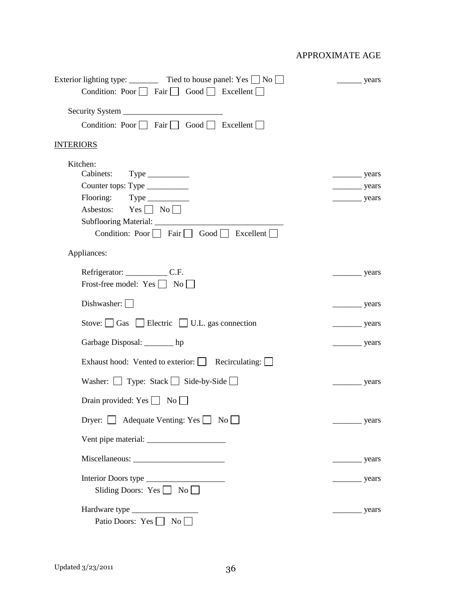| Exterior lighting type: _________ Tied to house panel: Yes $\Box$ No $\Box$<br>Condition: Poor $\Box$ Fair $\Box$ Good $\Box$ Excellent $\Box$ | years                 |
|------------------------------------------------------------------------------------------------------------------------------------------------|-----------------------|
|                                                                                                                                                |                       |
| Condition: Poor Fair Good Excellent                                                                                                            |                       |
| <b>INTERIORS</b>                                                                                                                               |                       |
|                                                                                                                                                |                       |
| Kitchen:<br>Cabinets:                                                                                                                          | $\frac{\ }{\ }$ years |
| Counter tops: Type ___________                                                                                                                 | $\frac{1}{2}$ years   |
| Flooring: Type _________                                                                                                                       | $\frac{1}{2}$ years   |
| Asbestos: $Yes \Box No \Box$                                                                                                                   |                       |
| Subflooring Material: _________________<br>Condition: Poor $\Box$ Fair $\Box$ Good $\Box$ Excellent $\Box$                                     |                       |
| Appliances:                                                                                                                                    |                       |
|                                                                                                                                                | years                 |
| Frost-free model: $Yes \bigsqcup No \bigsqcup$                                                                                                 |                       |
| Dishwasher: $\Box$                                                                                                                             | years                 |
| Stove: $\Box$ Gas $\Box$ Electric $\Box$ U.L. gas connection                                                                                   | years                 |
| Garbage Disposal: _______ hp                                                                                                                   | years                 |
| Exhaust hood: Vented to exterior: Recirculating:                                                                                               |                       |
| Washer: $\Box$ Type: Stack $\Box$ Side-by-Side $\Box$                                                                                          | $\frac{\ }{\ }$ years |
| Drain provided: $Yes \bigsqcup No \bigsqcup$                                                                                                   |                       |
| Dryer: $\Box$ Adequate Venting: Yes $\Box$ No $\Box$                                                                                           | years                 |
|                                                                                                                                                |                       |
|                                                                                                                                                | years                 |
| Interior Doors type<br>Sliding Doors: Yes $\Box$ No $\Box$                                                                                     | years                 |
| Patio Doors: Yes No                                                                                                                            |                       |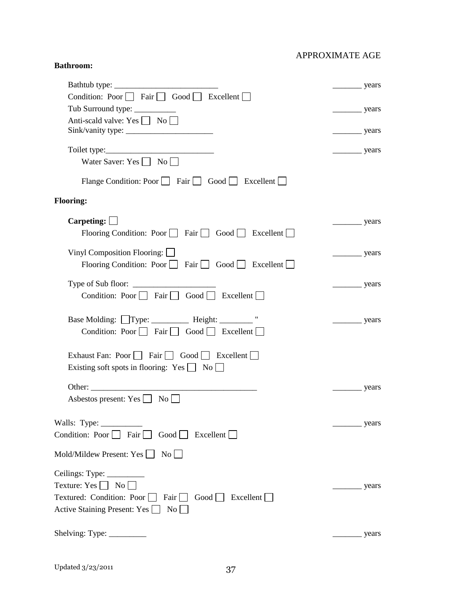#### **Bathroom:**

|                                                                                                                                                                                                              | _ years               |
|--------------------------------------------------------------------------------------------------------------------------------------------------------------------------------------------------------------|-----------------------|
| Condition: Poor $\Box$ Fair $\Box$ Good $\Box$ Excellent $\Box$                                                                                                                                              |                       |
| Tub Surround type: __________                                                                                                                                                                                | years                 |
| Anti-scald valve: Yes No                                                                                                                                                                                     | $\frac{\ }{\ }$ years |
| Water Saver: Yes $\Box$ No $\Box$                                                                                                                                                                            | $\frac{\ }{\ }$ years |
| Flange Condition: Poor     Fair   Good   Excellent                                                                                                                                                           |                       |
| <b>Flooring:</b>                                                                                                                                                                                             |                       |
| Carpeting: $\Box$<br>Flooring Condition: Poor $\Box$ Fair $\Box$ Good $\Box$ Excellent $\Box$                                                                                                                |                       |
| Vinyl Composition Flooring: $\Box$<br>Flooring Condition: Poor $\Box$ Fair $\Box$ Good $\Box$ Excellent $\Box$                                                                                               | years                 |
| Type of Sub floor: $\frac{1}{\sqrt{1-\frac{1}{2}}}\$<br>Condition: Poor $\Box$ Fair $\Box$ Good $\Box$ Excellent $\Box$                                                                                      |                       |
| Base Molding: Type: _________ Height: ________ "<br>Condition: Poor $\Box$ Fair $\Box$ Good $\Box$ Excellent $\Box$                                                                                          | years                 |
| Exhaust Fan: Poor   Fair   Good   Excellent<br>Existing soft spots in flooring: Yes $\Box$ No $\Box$                                                                                                         |                       |
| Asbestos present: Yes $\Box$ No $\Box$                                                                                                                                                                       | years                 |
| Walls: Type:<br>Condition: Poor $\Box$ Fair $\Box$ Good $\Box$ Excellent $\Box$                                                                                                                              | years                 |
| Mold/Mildew Present: Yes $\Box$ No $\Box$                                                                                                                                                                    |                       |
| Ceilings: Type: $\frac{1}{\sqrt{1-\frac{1}{2}}\cdot\frac{1}{\sqrt{1-\frac{1}{2}}}}$<br>Texture: Yes $\Box$ No $\Box$<br>Textured: Condition: Poor Fair Good Excellent<br>Active Staining Present: Yes □ No □ |                       |
| Shelving: Type: ___________                                                                                                                                                                                  |                       |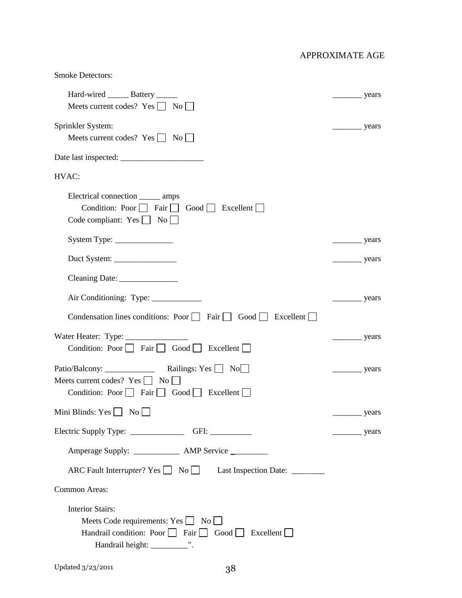| <b>Smoke Detectors:</b>                                                                                                                   |                            |
|-------------------------------------------------------------------------------------------------------------------------------------------|----------------------------|
| Hard-wired ________ Battery _______<br>Meets current codes? Yes No                                                                        | years                      |
| Sprinkler System:<br>Meets current codes? Yes   No                                                                                        | years                      |
|                                                                                                                                           |                            |
| HVAC:                                                                                                                                     |                            |
| Electrical connection _______ amps<br>Condition: Poor     Fair     Good     Excellent    <br>Code compliant: $Yes \bigsqcup No \bigsqcup$ |                            |
| $System Type: \_\_$                                                                                                                       | $\frac{1}{\sqrt{2}}$ years |
| Duct System: $\frac{1}{\sqrt{1-\frac{1}{2}}}\left\vert \frac{1}{2}S\right\vert$                                                           | $\frac{\ }{\ }$ years      |
| Cleaning Date: _________________                                                                                                          |                            |
|                                                                                                                                           | $\frac{1}{\sqrt{2}}$ years |
| Condensation lines conditions: Poor $\Box$ Fair $\Box$ Good $\Box$ Excellent $\Box$                                                       |                            |
| Water Heater: Type: ________<br>Condition: Poor $\Box$ Fair $\Box$ Good $\Box$ Excellent $\Box$                                           |                            |
| Meets current codes? $Yes \fbox{} \fbox{} No \fbox{}$<br>Condition: Poor $\Box$ Fair $\Box$ Good $\Box$ Excellent $\Box$                  | $\frac{1}{2}$ years        |
| Mini Blinds: Yes $\Box$ No $\Box$                                                                                                         |                            |
|                                                                                                                                           | years                      |
| Amperage Supply: _______________ AMP Service _________                                                                                    |                            |
| ARC Fault Interrupter? Yes No Last Inspection Date: _________                                                                             |                            |
| Common Areas:                                                                                                                             |                            |
| <b>Interior Stairs:</b><br>Meets Code requirements: $Yes \Box No \Box$<br>Handrail condition: Poor Fair Good Excellent                    |                            |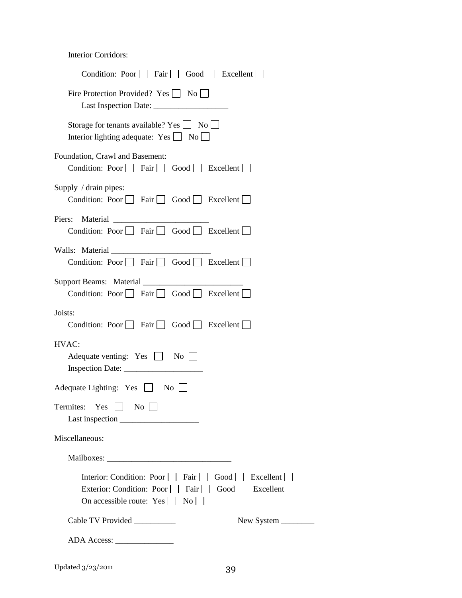Interior Corridors:

| Condition: Poor $\Box$ Fair $\Box$ Good $\Box$ Excellent $\Box$                                                                                                                             |  |  |  |
|---------------------------------------------------------------------------------------------------------------------------------------------------------------------------------------------|--|--|--|
| Fire Protection Provided? Yes $\Box$ No                                                                                                                                                     |  |  |  |
| Storage for tenants available? Yes   No<br>Interior lighting adequate: $Yes \Box No \Box$                                                                                                   |  |  |  |
| Foundation, Crawl and Basement:<br>Condition: Poor $\Box$ Fair $\Box$ Good $\Box$ Excellent $\Box$                                                                                          |  |  |  |
| Supply / drain pipes:<br>Condition: Poor $\Box$ Fair $\Box$ Good $\Box$ Excellent $\Box$                                                                                                    |  |  |  |
| Piers:<br>Condition: Poor $\Box$ Fair $\Box$ Good $\Box$ Excellent $\Box$                                                                                                                   |  |  |  |
| Walls: Material<br>Condition: Poor $\Box$ Fair $\Box$ Good $\Box$ Excellent $\Box$                                                                                                          |  |  |  |
| Condition: Poor $\Box$ Fair $\Box$ Good $\Box$ Excellent $\Box$                                                                                                                             |  |  |  |
| Joists:<br>Condition: Poor $\Box$ Fair $\Box$ Good $\Box$ Excellent $\Box$                                                                                                                  |  |  |  |
| HVAC:<br>Adequate venting: $Yes \t No$                                                                                                                                                      |  |  |  |
| Adequate Lighting: Yes $\Box$ No $\Box$                                                                                                                                                     |  |  |  |
| Termites:<br>Yes<br>$\pm$<br>$\overline{N_{0}}$                                                                                                                                             |  |  |  |
| Miscellaneous:                                                                                                                                                                              |  |  |  |
|                                                                                                                                                                                             |  |  |  |
| Interior: Condition: Poor<br>Fair $\vert$ $\vert$<br>$Good \Box$<br>Excellent<br>Exterior: Condition: Poor<br>Fair    <br>Good   Excellent    <br>On accessible route: Yes<br>$\mathrm{No}$ |  |  |  |
| Cable TV Provided __________                                                                                                                                                                |  |  |  |
|                                                                                                                                                                                             |  |  |  |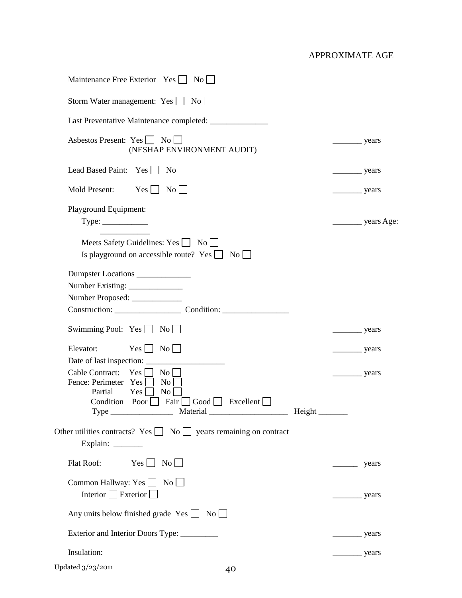| Maintenance Free Exterior Yes   No                                                                                                                                             |                            |                          |
|--------------------------------------------------------------------------------------------------------------------------------------------------------------------------------|----------------------------|--------------------------|
| Storm Water management: $Yes \Box No \Box$                                                                                                                                     |                            |                          |
|                                                                                                                                                                                |                            |                          |
| Asbestos Present: Yes     No<br>(NESHAP ENVIRONMENT AUDIT)                                                                                                                     | years                      |                          |
| Lead Based Paint: Yes   No                                                                                                                                                     | years                      |                          |
| $Yes \Box$<br>Mold Present:<br>$\overline{N_0}$                                                                                                                                | $\frac{\ }{\ }$ years      |                          |
| Playground Equipment:<br>$Type: \_\_\_\_\_\_\_\_\_\_\_\_\_\_\_\_\_\_$                                                                                                          |                            | _____________ years Age: |
| Meets Safety Guidelines: Yes No<br>Is playground on accessible route? Yes $\Box$ No $\Box$                                                                                     |                            |                          |
| Dumpster Locations<br>Number Existing: _______________<br>Number Proposed: ____________                                                                                        |                            |                          |
| Swimming Pool: $Yes \bigsqcup No \bigsqcup$                                                                                                                                    | years                      |                          |
| $Yes \Box No \Box$<br>Elevator:                                                                                                                                                | $\frac{1}{2}$ years        |                          |
| Cable Contract:<br>$\rm{No}$<br>Yes  <br>Fence: Perimeter Yes<br>$\overline{N_{0}}$<br>Partial<br>$\overline{N_{0}}$<br>Yes<br>  Fair   Good   Excellent    <br>Condition Poor | $\frac{\ }{\ }$ years      |                          |
| Other utilities contracts? Yes $\Box$ No $\Box$ years remaining on contract<br>Explain: ______                                                                                 |                            |                          |
| $Yes \t No \t$<br>Flat Roof:                                                                                                                                                   |                            | years                    |
| Common Hallway: Yes $\Box$ No $\Box$<br>Interior $\Box$ Exterior $\Box$                                                                                                        | $\frac{\ }{\ }$ years      |                          |
| Any units below finished grade $Yes \bigsqcup No \bigsqcup$                                                                                                                    |                            |                          |
| Exterior and Interior Doors Type: _________                                                                                                                                    | years                      |                          |
| Insulation:                                                                                                                                                                    | $\frac{1}{\sqrt{2}}$ years |                          |
| Updated 3/23/2011<br>40                                                                                                                                                        |                            |                          |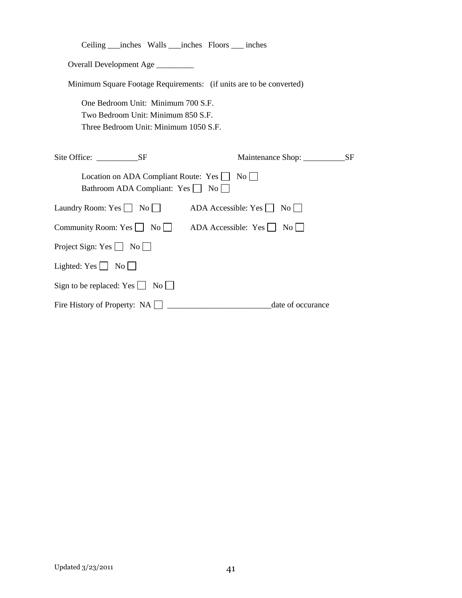| Ceiling ____inches Walls ____inches Floors _____ inches                                                           |                                      |
|-------------------------------------------------------------------------------------------------------------------|--------------------------------------|
| Overall Development Age _________                                                                                 |                                      |
| Minimum Square Footage Requirements: (if units are to be converted)                                               |                                      |
| One Bedroom Unit: Minimum 700 S.F.<br>Two Bedroom Unit: Minimum 850 S.F.<br>Three Bedroom Unit: Minimum 1050 S.F. |                                      |
| Site Office: SF                                                                                                   | Maintenance Shop: ________________SF |
| Location on ADA Compliant Route: $Yes \Box No \Box$<br>Bathroom ADA Compliant: Yes   No                           |                                      |
| Laundry Room: Yes $\Box$ No $\Box$                                                                                | ADA Accessible: Yes<br>No            |
| Community Room: Yes $\Box$ No $\Box$ ADA Accessible: Yes $\Box$ No $\Box$                                         |                                      |
| Project Sign: Yes $\Box$ No $\Box$                                                                                |                                      |
| Lighted: $Yes \t No \t$                                                                                           |                                      |
| Sign to be replaced: Yes $\Box$ No $\Box$                                                                         |                                      |
| Fire History of Property: $NA$                                                                                    | date of occurance                    |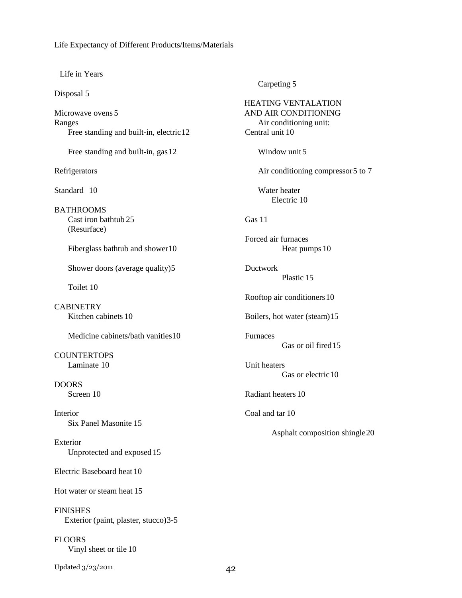#### Life Expectancy of Different Products/Items/Materials

#### Life in Years

Disposal 5

Microwave ovens 5 Ranges Free standing and built-in, electric 12

Free standing and built-in, gas 12

Refrigerators

Standard 10

**BATHROOMS** Cast iron bathtub 25 (Resurface)

Fiberglass bathtub and shower10

Shower doors (average quality)5

Toilet 10

**CABINETRY** Kitchen cabinets 10

Medicine cabinets/bath vanities10

**COUNTERTOPS** Laminate 10

DOORS Screen 10

Interior Six Panel Masonite 15

Exterior Unprotected and exposed 15

Electric Baseboard heat 10

Hot water or steam heat 15

FINISHES Exterior (paint, plaster, stucco)3-5

FLOORS Vinyl sheet or tile 10

Updated 3/23/2011 42

Carpeting 5

HEATING VENTALATION AND AIR CONDITIONING Air conditioning unit: Central unit 10 Window unit 5 Air conditioning compressor5 to 7 Water heater Electric 10 Gas 11 Forced air furnaces Heat pumps 10 Ductwork Plastic 15 Rooftop air conditioners10 Boilers, hot water (steam)15 Furnaces Gas or oil fired15 Unit heaters Gas or electric 10 Radiant heaters 10 Coal and tar 10 Asphalt composition shingle20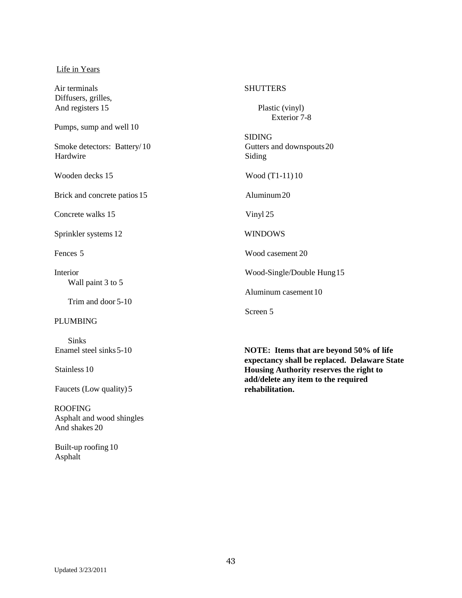#### Life in Years

Air terminals Diffusers, grilles, And registers 15 Pumps, sump and well 10 Smoke detectors: Battery/ 10 Hardwire Wooden decks 15 Brick and concrete patios 15 Concrete walks 15 Sprinkler systems 12 Fences 5 Interior Wall paint 3 to 5 Trim and door 5-10 PLUMBING Sinks **SHUTTERS** Plastic (vinyl) Exterior 7-8 SIDING Gutters and downspouts20 Siding Wood (T1-11) 10 Aluminum20 Vinyl 25 WINDOWS Wood casement 20 Wood-Single/Double Hung15 Aluminum casement 10 Screen 5

> **NOTE: Items that are beyond 50% of life expectancy shall be replaced. Delaware State Housing Authority reserves the right to add/delete any item to the required rehabilitation.**

Faucets (Low quality) 5

Stainless 10

Enamel steel sinks5-10

ROOFING Asphalt and wood shingles And shakes 20

Built-up roofing 10 Asphalt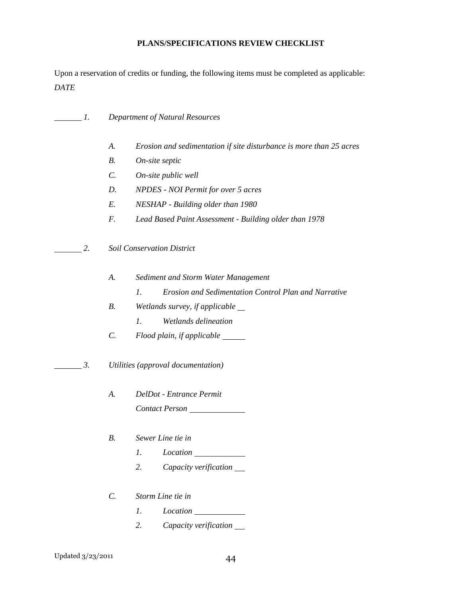# **PLANS/SPECIFICATIONS REVIEW CHECKLIST**

Upon a reservation of credits or funding, the following items must be completed as applicable: *DATE*

| 1. |                 | <b>Department of Natural Resources</b>                                  |
|----|-----------------|-------------------------------------------------------------------------|
|    | A.              | Erosion and sedimentation if site disturbance is more than 25 acres     |
|    | $B$ .           | On-site septic                                                          |
|    | $\mathcal{C}$ . | On-site public well                                                     |
|    | D.              | <b>NPDES</b> - NOI Permit for over 5 acres                              |
|    | E.              | NESHAP - Building older than 1980                                       |
|    | F.              | Lead Based Paint Assessment - Building older than 1978                  |
| 2. |                 | <b>Soil Conservation District</b>                                       |
|    | A.              | Sediment and Storm Water Management                                     |
|    |                 | $\mathfrak{1}.$<br>Erosion and Sedimentation Control Plan and Narrative |
|    | <b>B.</b>       | Wetlands survey, if applicable                                          |
|    |                 | Wetlands delineation<br>$l_{\cdot}$                                     |
|    | $\mathcal{C}$ . | Flood plain, if applicable ______                                       |
| 3. |                 | Utilities (approval documentation)                                      |
|    | A.              | DelDot - Entrance Permit                                                |
|    |                 | Contact Person                                                          |
|    | В.              | Sewer Line tie in                                                       |
|    |                 | 1.<br><i>Location</i>                                                   |
|    |                 | 2.<br>Capacity verification                                             |
|    | $\mathcal{C}$ . | Storm Line tie in                                                       |
|    |                 | 1.<br>Location                                                          |
|    |                 | 2.<br>Capacity verification                                             |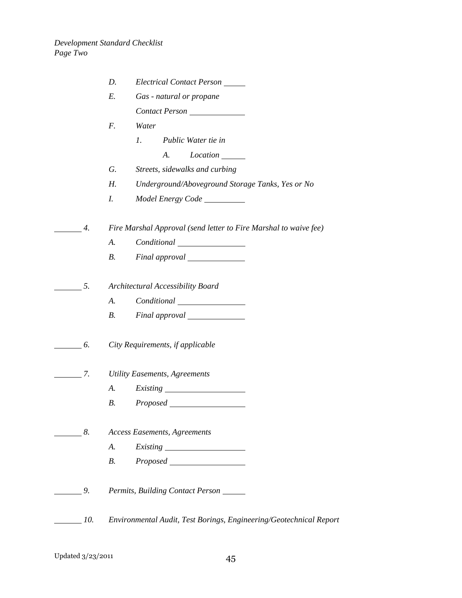|                  |     | D.<br>Electrical Contact Person                                                                                                                                                                                                                                                              |
|------------------|-----|----------------------------------------------------------------------------------------------------------------------------------------------------------------------------------------------------------------------------------------------------------------------------------------------|
|                  |     | Gas - natural or propane<br>E.                                                                                                                                                                                                                                                               |
|                  |     | Contact Person                                                                                                                                                                                                                                                                               |
|                  |     | F.<br>Water                                                                                                                                                                                                                                                                                  |
|                  |     | $l_{\cdot}$<br>Public Water tie in                                                                                                                                                                                                                                                           |
|                  |     | $Location$ <sub>_______</sub><br>A.                                                                                                                                                                                                                                                          |
|                  |     | Streets, sidewalks and curbing<br>G.                                                                                                                                                                                                                                                         |
|                  |     | Н.<br>Underground/Aboveground Storage Tanks, Yes or No                                                                                                                                                                                                                                       |
|                  |     | I.                                                                                                                                                                                                                                                                                           |
|                  | 4.  | Fire Marshal Approval (send letter to Fire Marshal to waive fee)                                                                                                                                                                                                                             |
|                  |     | A.<br>$Conditional$ [100] [2010] [2010] $\frac{1}{2}$ [2010] $\frac{1}{2}$ [2010] $\frac{1}{2}$ [2010] $\frac{1}{2}$ [2010] $\frac{1}{2}$ [2010] $\frac{1}{2}$ [2010] $\frac{1}{2}$ [2010] $\frac{1}{2}$ [2010] $\frac{1}{2}$ [2010] $\frac{1}{2}$ [2010] $\frac{1}{2}$ [2010] $\frac{1}{2}$ |
|                  |     | <i>B</i> .                                                                                                                                                                                                                                                                                   |
|                  | 5.  | Architectural Accessibility Board                                                                                                                                                                                                                                                            |
|                  |     | A.<br><i>Conditional</i> <u>Learners</u>                                                                                                                                                                                                                                                     |
|                  |     | <i>B</i> .                                                                                                                                                                                                                                                                                   |
|                  |     |                                                                                                                                                                                                                                                                                              |
| $\overline{6}$ . |     | City Requirements, if applicable                                                                                                                                                                                                                                                             |
|                  | 7.  | <b>Utility Easements, Agreements</b>                                                                                                                                                                                                                                                         |
|                  |     | А.                                                                                                                                                                                                                                                                                           |
|                  |     | В.<br><i>Proposed</i>                                                                                                                                                                                                                                                                        |
|                  |     |                                                                                                                                                                                                                                                                                              |
| $\frac{8}{2}$    |     | <b>Access Easements, Agreements</b>                                                                                                                                                                                                                                                          |
|                  |     | A.                                                                                                                                                                                                                                                                                           |
|                  |     | Proposed<br>B.                                                                                                                                                                                                                                                                               |
| 9.               |     | Permits, Building Contact Person                                                                                                                                                                                                                                                             |
|                  | 10. | Environmental Audit, Test Borings, Engineering/Geotechnical Report                                                                                                                                                                                                                           |
|                  |     |                                                                                                                                                                                                                                                                                              |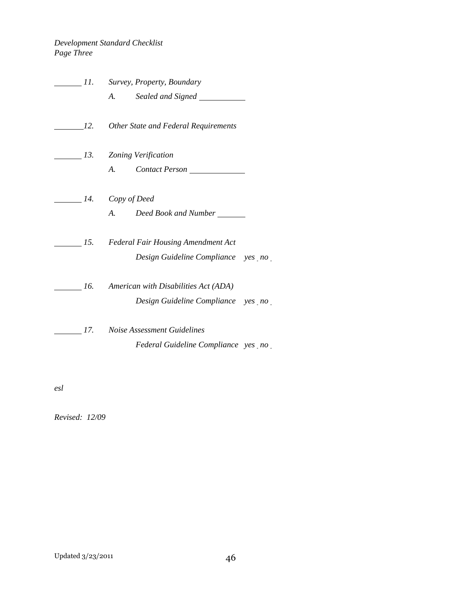# *Development Standard Checklist Page Three*

|     | 11. Survey, Property, Boundary                          |  |
|-----|---------------------------------------------------------|--|
|     |                                                         |  |
|     | 12. Other State and Federal Requirements                |  |
|     | 13. Zoning Verification                                 |  |
|     | A. Contact Person                                       |  |
|     | 14. Copy of Deed                                        |  |
|     | A. Deed Book and Number                                 |  |
|     | 15. Federal Fair Housing Amendment Act                  |  |
|     | Design Guideline Compliance yes no                      |  |
|     | $\frac{1}{16}$ 16. American with Disabilities Act (ADA) |  |
|     | Design Guideline Compliance yes no                      |  |
| 17. | Noise Assessment Guidelines                             |  |
|     | Federal Guideline Compliance yes no                     |  |

*esl*

*Revised: 12/09*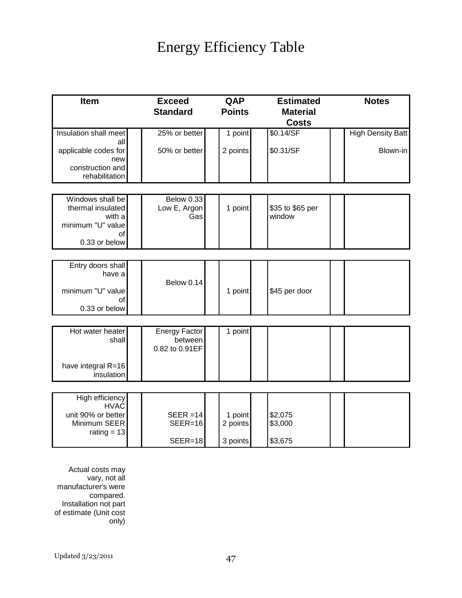# Energy Efficiency Table

| <b>Exceed</b>   | QAP                                                                                   | <b>Estimated</b>                           | <b>Notes</b>                            |
|-----------------|---------------------------------------------------------------------------------------|--------------------------------------------|-----------------------------------------|
| <b>Standard</b> | <b>Points</b>                                                                         | <b>Material</b>                            |                                         |
|                 |                                                                                       | <b>Costs</b>                               |                                         |
| 25% or better   | 1 point                                                                               | \$0.14/SF                                  | <b>High Density Batt</b>                |
|                 |                                                                                       |                                            |                                         |
|                 |                                                                                       |                                            | Blown-in                                |
|                 |                                                                                       |                                            |                                         |
|                 |                                                                                       |                                            |                                         |
|                 |                                                                                       |                                            |                                         |
| Below 0.33      |                                                                                       |                                            |                                         |
|                 |                                                                                       |                                            |                                         |
|                 |                                                                                       |                                            |                                         |
|                 |                                                                                       |                                            |                                         |
|                 |                                                                                       |                                            |                                         |
|                 |                                                                                       |                                            |                                         |
|                 |                                                                                       |                                            |                                         |
|                 |                                                                                       |                                            |                                         |
|                 | 1 point                                                                               | \$45 per door                              |                                         |
|                 |                                                                                       |                                            |                                         |
|                 |                                                                                       |                                            |                                         |
|                 |                                                                                       |                                            |                                         |
|                 |                                                                                       |                                            |                                         |
| 0.82 to 0.91EF  |                                                                                       |                                            |                                         |
|                 |                                                                                       |                                            |                                         |
|                 |                                                                                       |                                            |                                         |
|                 |                                                                                       |                                            |                                         |
|                 |                                                                                       |                                            |                                         |
|                 |                                                                                       |                                            |                                         |
| $SEER = 14$     | 1 point                                                                               | \$2,075                                    |                                         |
| $SEER=16$       |                                                                                       | \$3,000                                    |                                         |
| $SEER=18$       | 3 points                                                                              | \$3,675                                    |                                         |
|                 | 50% or better<br>Low E, Argon<br>Gas<br>Below 0.14<br><b>Energy Factor</b><br>between | 2 points<br>1 point<br>1 point<br>2 points | \$0.31/SF<br>\$35 to \$65 per<br>window |

Actual costs may vary, not all manufacturer's were compared. Installation not part of estimate (Unit cost only)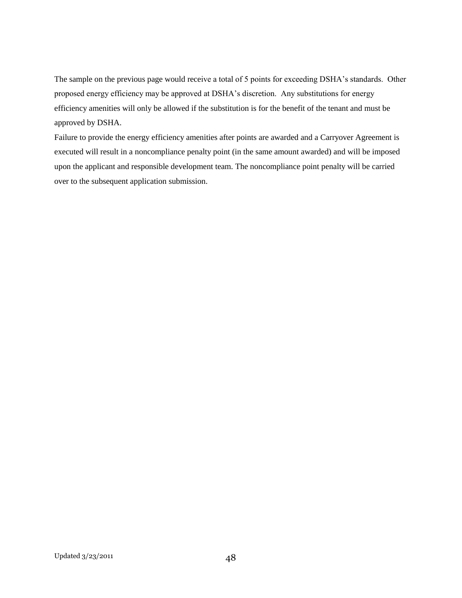The sample on the previous page would receive a total of 5 points for exceeding DSHA"s standards. Other proposed energy efficiency may be approved at DSHA"s discretion. Any substitutions for energy efficiency amenities will only be allowed if the substitution is for the benefit of the tenant and must be approved by DSHA.

Failure to provide the energy efficiency amenities after points are awarded and a Carryover Agreement is executed will result in a noncompliance penalty point (in the same amount awarded) and will be imposed upon the applicant and responsible development team. The noncompliance point penalty will be carried over to the subsequent application submission.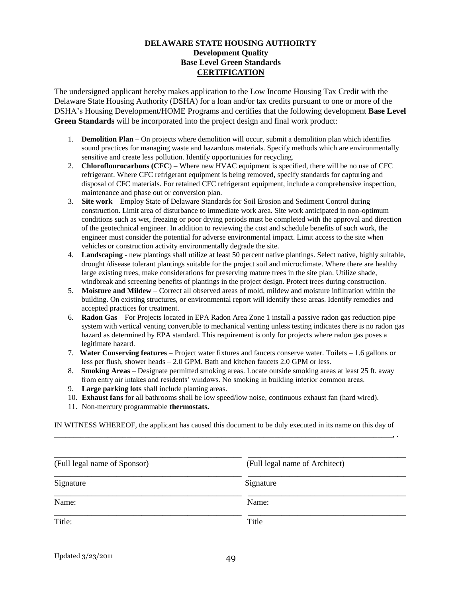#### **DELAWARE STATE HOUSING AUTHOIRTY Development Quality Base Level Green Standards CERTIFICATION**

The undersigned applicant hereby makes application to the Low Income Housing Tax Credit with the Delaware State Housing Authority (DSHA) for a loan and/or tax credits pursuant to one or more of the DSHA"s Housing Development/HOME Programs and certifies that the following development **Base Level Green Standards** will be incorporated into the project design and final work product:

- 1. **Demolition Plan** On projects where demolition will occur, submit a demolition plan which identifies sound practices for managing waste and hazardous materials. Specify methods which are environmentally sensitive and create less pollution. Identify opportunities for recycling.
- 2. **Chloroflourocarbons (CFC**) Where new HVAC equipment is specified, there will be no use of CFC refrigerant. Where CFC refrigerant equipment is being removed, specify standards for capturing and disposal of CFC materials. For retained CFC refrigerant equipment, include a comprehensive inspection, maintenance and phase out or conversion plan.
- 3. **Site work** Employ State of Delaware Standards for Soil Erosion and Sediment Control during construction. Limit area of disturbance to immediate work area. Site work anticipated in non-optimum conditions such as wet, freezing or poor drying periods must be completed with the approval and direction of the geotechnical engineer. In addition to reviewing the cost and schedule benefits of such work, the engineer must consider the potential for adverse environmental impact. Limit access to the site when vehicles or construction activity environmentally degrade the site.
- 4. **Landscaping** new plantings shall utilize at least 50 percent native plantings. Select native, highly suitable, drought /disease tolerant plantings suitable for the project soil and microclimate. Where there are healthy large existing trees, make considerations for preserving mature trees in the site plan. Utilize shade, windbreak and screening benefits of plantings in the project design. Protect trees during construction.
- 5. **Moisture and Mildew** Correct all observed areas of mold, mildew and moisture infiltration within the building. On existing structures, or environmental report will identify these areas. Identify remedies and accepted practices for treatment.
- 6. **Radon Gas** For Projects located in EPA Radon Area Zone 1 install a passive radon gas reduction pipe system with vertical venting convertible to mechanical venting unless testing indicates there is no radon gas hazard as determined by EPA standard. This requirement is only for projects where radon gas poses a legitimate hazard.
- 7. **Water Conserving features** Project water fixtures and faucets conserve water. Toilets 1.6 gallons or less per flush, shower heads – 2.0 GPM. Bath and kitchen faucets 2.0 GPM or less.
- 8. **Smoking Areas** Designate permitted smoking areas. Locate outside smoking areas at least 25 ft. away from entry air intakes and residents" windows. No smoking in building interior common areas.
- 9. **Large parking lots** shall include planting areas.
- 10. **Exhaust fans** for all bathrooms shall be low speed/low noise, continuous exhaust fan (hard wired).
- 11. Non-mercury programmable **thermostats.**

IN WITNESS WHEREOF, the applicant has caused this document to be duly executed in its name on this day of \_\_\_\_\_\_\_\_\_\_\_\_\_\_\_\_\_\_\_\_\_\_\_\_\_\_\_\_\_\_\_\_\_\_\_\_\_\_\_\_\_\_\_\_\_\_\_\_\_\_\_\_\_\_\_\_\_\_\_\_\_\_\_\_\_\_\_\_\_\_\_\_\_\_\_\_\_\_\_\_\_\_\_\_\_\_\_\_\_, .

| (Full legal name of Sponsor) | (Full legal name of Architect) |
|------------------------------|--------------------------------|
| Signature                    | Signature                      |
| Name:                        | Name:                          |
| Title:                       | Title                          |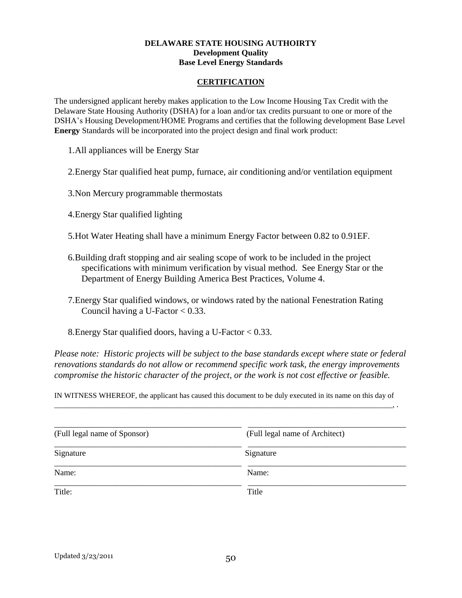#### **DELAWARE STATE HOUSING AUTHOIRTY Development Quality Base Level Energy Standards**

#### **CERTIFICATION**

The undersigned applicant hereby makes application to the Low Income Housing Tax Credit with the Delaware State Housing Authority (DSHA) for a loan and/or tax credits pursuant to one or more of the DSHA"s Housing Development/HOME Programs and certifies that the following development Base Level **Energy** Standards will be incorporated into the project design and final work product:

1.All appliances will be Energy Star

2.Energy Star qualified heat pump, furnace, air conditioning and/or ventilation equipment

3.Non Mercury programmable thermostats

4.Energy Star qualified lighting

5.Hot Water Heating shall have a minimum Energy Factor between 0.82 to 0.91EF.

- 6.Building draft stopping and air sealing scope of work to be included in the project specifications with minimum verification by visual method. See Energy Star or the Department of Energy Building America Best Practices, Volume 4.
- 7.Energy Star qualified windows, or windows rated by the national Fenestration Rating Council having a U-Factor  $< 0.33$ .
- 8.Energy Star qualified doors, having a U-Factor < 0.33.

*Please note: Historic projects will be subject to the base standards except where state or federal renovations standards do not allow or recommend specific work task, the energy improvements compromise the historic character of the project, or the work is not cost effective or feasible.*

IN WITNESS WHEREOF, the applicant has caused this document to be duly executed in its name on this day of \_\_\_\_\_\_\_\_\_\_\_\_\_\_\_\_\_\_\_\_\_\_\_\_\_\_\_\_\_\_\_\_\_\_\_\_\_\_\_\_\_\_\_\_\_\_\_\_\_\_\_\_\_\_\_\_\_\_\_\_\_\_\_\_\_\_\_\_\_\_\_\_\_\_\_\_\_\_\_\_\_\_\_\_\_\_\_\_\_, .

| (Full legal name of Sponsor) | (Full legal name of Architect) |
|------------------------------|--------------------------------|
| Signature                    | Signature                      |
| Name:                        | Name:                          |
| Title:                       | Title                          |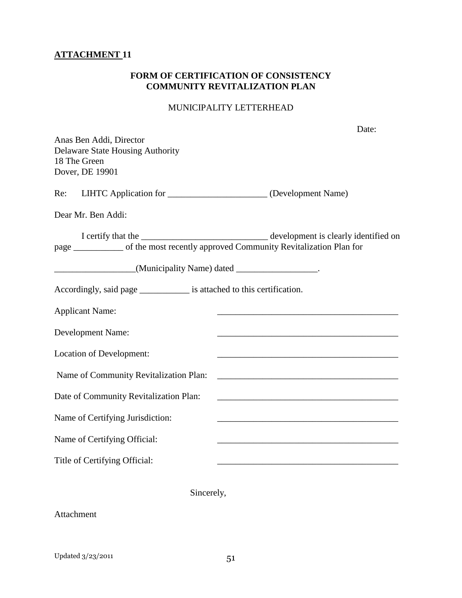# **ATTACHMENT 11**

# **FORM OF CERTIFICATION OF CONSISTENCY COMMUNITY REVITALIZATION PLAN**

# MUNICIPALITY LETTERHEAD

| Anas Ben Addi, Director                                                                                                                                           | Date:                                                                                                                                                                                                                         |
|-------------------------------------------------------------------------------------------------------------------------------------------------------------------|-------------------------------------------------------------------------------------------------------------------------------------------------------------------------------------------------------------------------------|
| <b>Delaware State Housing Authority</b><br>18 The Green<br>Dover, DE 19901                                                                                        |                                                                                                                                                                                                                               |
| Re: LIHTC Application for ________________________ (Development Name)                                                                                             |                                                                                                                                                                                                                               |
| Dear Mr. Ben Addi:                                                                                                                                                |                                                                                                                                                                                                                               |
| I certify that the <b>contract to the development</b> is clearly identified on<br>page __________ of the most recently approved Community Revitalization Plan for |                                                                                                                                                                                                                               |
| ___________________(Municipality Name) dated ___________________.                                                                                                 |                                                                                                                                                                                                                               |
| Accordingly, said page ______________ is attached to this certification.                                                                                          |                                                                                                                                                                                                                               |
| <b>Applicant Name:</b>                                                                                                                                            | <u> 1980 - Johann John Stone, mars eta bat eta bat eta bat eta bat eta bat eta bat eta bat eta bat eta bat eta b</u>                                                                                                          |
| Development Name:                                                                                                                                                 | <u> 2000 - Jan James James Bernard Bernard Bernard Bernard Bernard Bernard Bernard Bernard Bernard Bernard Bernard</u>                                                                                                        |
| Location of Development:                                                                                                                                          | <u> 1989 - Johann Stoff, amerikansk politiker (* 1908)</u>                                                                                                                                                                    |
| Name of Community Revitalization Plan:                                                                                                                            |                                                                                                                                                                                                                               |
| Date of Community Revitalization Plan:                                                                                                                            |                                                                                                                                                                                                                               |
| Name of Certifying Jurisdiction:                                                                                                                                  | <u> 1989 - Johann Stoff, Amerikaansk politiker (* 1908)</u>                                                                                                                                                                   |
| Name of Certifying Official:                                                                                                                                      |                                                                                                                                                                                                                               |
| Title of Certifying Official:                                                                                                                                     | the control of the control of the control of the control of the control of the control of the control of the control of the control of the control of the control of the control of the control of the control of the control |
| Sincerely,                                                                                                                                                        |                                                                                                                                                                                                                               |

Attachment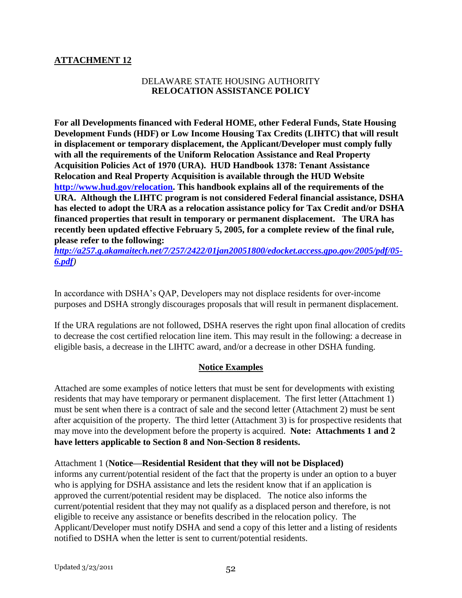# **ATTACHMENT 12**

# DELAWARE STATE HOUSING AUTHORITY **RELOCATION ASSISTANCE POLICY**

**For all Developments financed with Federal HOME, other Federal Funds, State Housing Development Funds (HDF) or Low Income Housing Tax Credits (LIHTC) that will result in displacement or temporary displacement, the Applicant/Developer must comply fully with all the requirements of the Uniform Relocation Assistance and Real Property Acquisition Policies Act of 1970 (URA). HUD Handbook 1378: Tenant Assistance Relocation and Real Property Acquisition is available through the HUD Website [http://www.hud.gov/relocation.](http://www.hud.gov/relocation) This handbook explains all of the requirements of the URA. Although the LIHTC program is not considered Federal financial assistance, DSHA has elected to adopt the URA as a relocation assistance policy for Tax Credit and/or DSHA financed properties that result in temporary or permanent displacement. The URA has recently been updated effective February 5, 2005, for a complete review of the final rule, please refer to the following:** 

*[http://a257.g.akamaitech.net/7/257/2422/01jan20051800/edocket.access.gpo.gov/2005/pdf/05-](http://a257.g.akamaitech.net/7/257/2422/01jan20051800/edocket.access.gpo.gov/2005/pdf/05-6.pdf) [6.pdf](http://a257.g.akamaitech.net/7/257/2422/01jan20051800/edocket.access.gpo.gov/2005/pdf/05-6.pdf))*

In accordance with DSHA"s QAP, Developers may not displace residents for over-income purposes and DSHA strongly discourages proposals that will result in permanent displacement.

If the URA regulations are not followed, DSHA reserves the right upon final allocation of credits to decrease the cost certified relocation line item. This may result in the following: a decrease in eligible basis, a decrease in the LIHTC award, and/or a decrease in other DSHA funding.

# **Notice Examples**

Attached are some examples of notice letters that must be sent for developments with existing residents that may have temporary or permanent displacement. The first letter (Attachment 1) must be sent when there is a contract of sale and the second letter (Attachment 2) must be sent after acquisition of the property. The third letter (Attachment 3) is for prospective residents that may move into the development before the property is acquired. **Note: Attachments 1 and 2 have letters applicable to Section 8 and Non-Section 8 residents.**

Attachment 1 (**Notice—Residential Resident that they will not be Displaced)** informs any current/potential resident of the fact that the property is under an option to a buyer who is applying for DSHA assistance and lets the resident know that if an application is approved the current/potential resident may be displaced. The notice also informs the current/potential resident that they may not qualify as a displaced person and therefore, is not eligible to receive any assistance or benefits described in the relocation policy. The Applicant/Developer must notify DSHA and send a copy of this letter and a listing of residents notified to DSHA when the letter is sent to current/potential residents.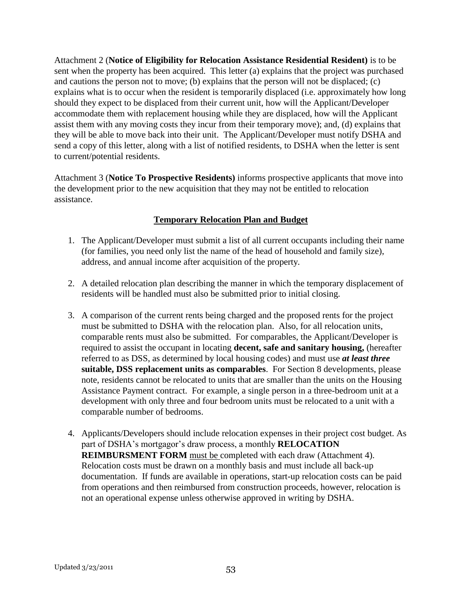Attachment 2 (**Notice of Eligibility for Relocation Assistance Residential Resident)** is to be sent when the property has been acquired. This letter (a) explains that the project was purchased and cautions the person not to move; (b) explains that the person will not be displaced; (c) explains what is to occur when the resident is temporarily displaced (i.e. approximately how long should they expect to be displaced from their current unit, how will the Applicant/Developer accommodate them with replacement housing while they are displaced, how will the Applicant assist them with any moving costs they incur from their temporary move); and, (d) explains that they will be able to move back into their unit. The Applicant/Developer must notify DSHA and send a copy of this letter, along with a list of notified residents, to DSHA when the letter is sent to current/potential residents.

Attachment 3 (**Notice To Prospective Residents)** informs prospective applicants that move into the development prior to the new acquisition that they may not be entitled to relocation assistance.

# **Temporary Relocation Plan and Budget**

- 1. The Applicant/Developer must submit a list of all current occupants including their name (for families, you need only list the name of the head of household and family size), address, and annual income after acquisition of the property.
- 2. A detailed relocation plan describing the manner in which the temporary displacement of residents will be handled must also be submitted prior to initial closing.
- 3. A comparison of the current rents being charged and the proposed rents for the project must be submitted to DSHA with the relocation plan. Also, for all relocation units, comparable rents must also be submitted. For comparables, the Applicant/Developer is required to assist the occupant in locating **decent, safe and sanitary housing,** (hereafter referred to as DSS, as determined by local housing codes) and must use *at least three*  **suitable, DSS replacement units as comparables**. For Section 8 developments, please note, residents cannot be relocated to units that are smaller than the units on the Housing Assistance Payment contract. For example, a single person in a three-bedroom unit at a development with only three and four bedroom units must be relocated to a unit with a comparable number of bedrooms.
- 4. Applicants/Developers should include relocation expenses in their project cost budget. As part of DSHA's mortgagor's draw process, a monthly **RELOCATION REIMBURSMENT FORM** must be completed with each draw (Attachment 4). Relocation costs must be drawn on a monthly basis and must include all back-up documentation. If funds are available in operations, start-up relocation costs can be paid from operations and then reimbursed from construction proceeds, however, relocation is not an operational expense unless otherwise approved in writing by DSHA.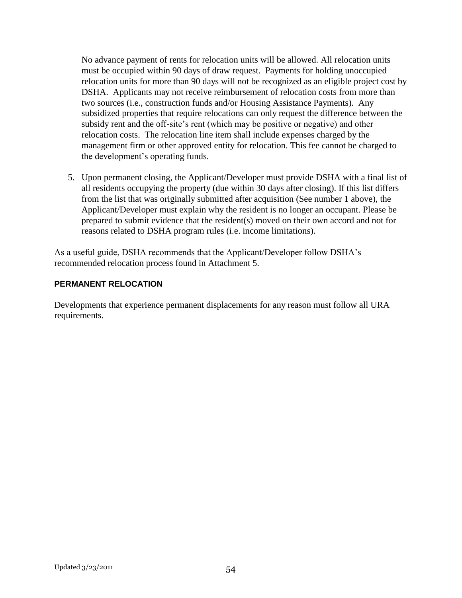No advance payment of rents for relocation units will be allowed. All relocation units must be occupied within 90 days of draw request. Payments for holding unoccupied relocation units for more than 90 days will not be recognized as an eligible project cost by DSHA. Applicants may not receive reimbursement of relocation costs from more than two sources (i.e., construction funds and/or Housing Assistance Payments). Any subsidized properties that require relocations can only request the difference between the subsidy rent and the off-site's rent (which may be positive or negative) and other relocation costs. The relocation line item shall include expenses charged by the management firm or other approved entity for relocation. This fee cannot be charged to the development"s operating funds.

5. Upon permanent closing, the Applicant/Developer must provide DSHA with a final list of all residents occupying the property (due within 30 days after closing). If this list differs from the list that was originally submitted after acquisition (See number 1 above), the Applicant/Developer must explain why the resident is no longer an occupant. Please be prepared to submit evidence that the resident(s) moved on their own accord and not for reasons related to DSHA program rules (i.e. income limitations).

As a useful guide, DSHA recommends that the Applicant/Developer follow DSHA"s recommended relocation process found in Attachment 5.

# **PERMANENT RELOCATION**

Developments that experience permanent displacements for any reason must follow all URA requirements.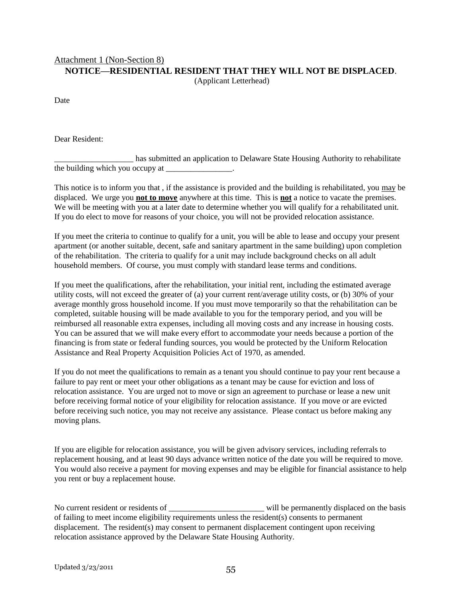# Attachment 1 (Non-Section 8) **NOTICE—RESIDENTIAL RESIDENT THAT THEY WILL NOT BE DISPLACED**.

(Applicant Letterhead)

Date

Dear Resident:

\_\_\_\_\_\_\_\_\_\_\_\_\_\_\_\_\_\_\_ has submitted an application to Delaware State Housing Authority to rehabilitate  $\frac{1}{2}$  the building which you occupy at \_\_\_\_\_\_\_\_\_\_\_\_\_\_.

This notice is to inform you that , if the assistance is provided and the building is rehabilitated, you may be displaced. We urge you **not to move** anywhere at this time. This is **not** a notice to vacate the premises. We will be meeting with you at a later date to determine whether you will qualify for a rehabilitated unit. If you do elect to move for reasons of your choice, you will not be provided relocation assistance.

If you meet the criteria to continue to qualify for a unit, you will be able to lease and occupy your present apartment (or another suitable, decent, safe and sanitary apartment in the same building) upon completion of the rehabilitation. The criteria to qualify for a unit may include background checks on all adult household members. Of course, you must comply with standard lease terms and conditions.

If you meet the qualifications, after the rehabilitation, your initial rent, including the estimated average utility costs, will not exceed the greater of (a) your current rent/average utility costs, or (b) 30% of your average monthly gross household income. If you must move temporarily so that the rehabilitation can be completed, suitable housing will be made available to you for the temporary period, and you will be reimbursed all reasonable extra expenses, including all moving costs and any increase in housing costs. You can be assured that we will make every effort to accommodate your needs because a portion of the financing is from state or federal funding sources, you would be protected by the Uniform Relocation Assistance and Real Property Acquisition Policies Act of 1970, as amended.

If you do not meet the qualifications to remain as a tenant you should continue to pay your rent because a failure to pay rent or meet your other obligations as a tenant may be cause for eviction and loss of relocation assistance. You are urged not to move or sign an agreement to purchase or lease a new unit before receiving formal notice of your eligibility for relocation assistance. If you move or are evicted before receiving such notice, you may not receive any assistance. Please contact us before making any moving plans.

If you are eligible for relocation assistance, you will be given advisory services, including referrals to replacement housing, and at least 90 days advance written notice of the date you will be required to move. You would also receive a payment for moving expenses and may be eligible for financial assistance to help you rent or buy a replacement house.

No current resident or residents of \_\_\_\_\_\_\_\_\_\_\_\_\_\_\_\_\_\_\_\_\_\_\_\_\_\_\_\_\_\_ will be permanently displaced on the basis of failing to meet income eligibility requirements unless the resident(s) consents to permanent displacement. The resident(s) may consent to permanent displacement contingent upon receiving relocation assistance approved by the Delaware State Housing Authority.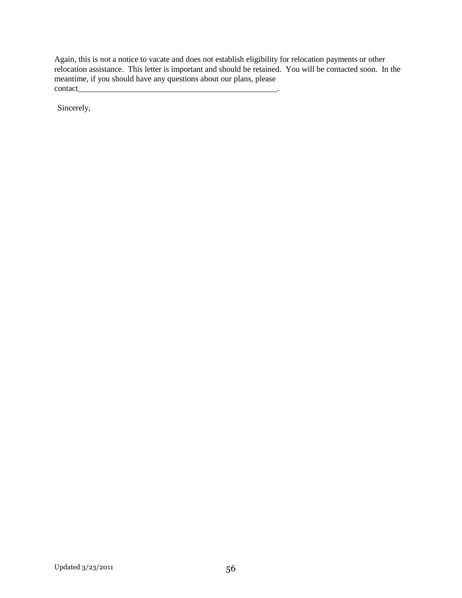Again, this is not a notice to vacate and does not establish eligibility for relocation payments or other relocation assistance. This letter is important and should be retained. You will be contacted soon. In the meantime, if you should have any questions about our plans, please contact\_

Sincerely,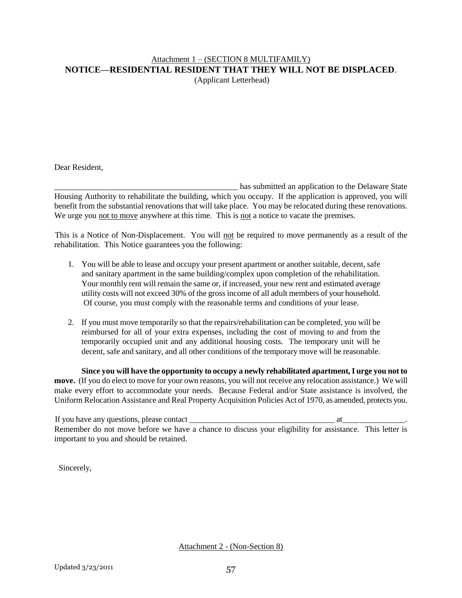#### Attachment 1 – (SECTION 8 MULTIFAMILY) **NOTICE—RESIDENTIAL RESIDENT THAT THEY WILL NOT BE DISPLACED**. (Applicant Letterhead)

Dear Resident,

\_\_\_\_\_\_\_\_\_\_\_\_\_\_\_\_\_\_\_\_\_\_\_\_\_\_\_\_\_\_\_\_\_\_\_\_\_\_\_\_\_\_\_\_ has submitted an application to the Delaware State Housing Authority to rehabilitate the building, which you occupy. If the application is approved, you will benefit from the substantial renovations that will take place. You may be relocated during these renovations. We urge you not to move anywhere at this time. This is not a notice to vacate the premises.

This is a Notice of Non-Displacement. You will not be required to move permanently as a result of the rehabilitation. This Notice guarantees you the following:

- 1. You will be able to lease and occupy your present apartment or another suitable, decent, safe and sanitary apartment in the same building/complex upon completion of the rehabilitation. Your monthly rent will remain the same or, if increased, your new rent and estimated average utility costs will not exceed 30% of the gross income of all adult members of your household. Of course, you must comply with the reasonable terms and conditions of your lease.
- 2. If you must move temporarily so that the repairs/rehabilitation can be completed, you will be reimbursed for all of your extra expenses, including the cost of moving to and from the temporarily occupied unit and any additional housing costs. The temporary unit will be decent, safe and sanitary, and all other conditions of the temporary move will be reasonable.

**Since you will have the opportunity to occupy a newly rehabilitated apartment, I urge you not to move.** (If you do elect to move for your own reasons, you will not receive any relocation assistance.) We will make every effort to accommodate your needs. Because Federal and/or State assistance is involved, the Uniform Relocation Assistance and Real Property Acquisition Policies Act of 1970, as amended, protects you.

If you have any questions, please contact \_\_\_\_\_\_\_\_\_\_\_\_\_\_\_\_\_\_\_\_\_\_\_\_\_\_\_\_\_\_\_\_\_\_\_ at\_\_\_\_\_\_\_\_\_\_\_\_\_\_\_. Remember do not move before we have a chance to discuss your eligibility for assistance. This letter is important to you and should be retained.

Sincerely,

Attachment 2 - (Non-Section 8)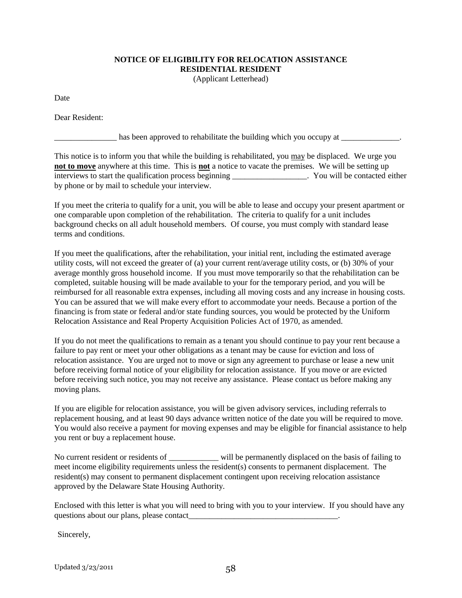# **NOTICE OF ELIGIBILITY FOR RELOCATION ASSISTANCE RESIDENTIAL RESIDENT**

(Applicant Letterhead)

Date

Dear Resident:

\_\_\_\_\_\_\_\_\_\_\_\_\_\_\_ has been approved to rehabilitate the building which you occupy at \_\_\_\_\_\_\_\_\_\_\_\_\_\_.

This notice is to inform you that while the building is rehabilitated, you may be displaced. We urge you **not to move** anywhere at this time. This is **not** a notice to vacate the premises. We will be setting up interviews to start the qualification process beginning \_\_\_\_\_\_\_\_\_\_\_\_\_\_\_\_\_\_. You will be contacted either by phone or by mail to schedule your interview.

If you meet the criteria to qualify for a unit, you will be able to lease and occupy your present apartment or one comparable upon completion of the rehabilitation. The criteria to qualify for a unit includes background checks on all adult household members. Of course, you must comply with standard lease terms and conditions.

If you meet the qualifications, after the rehabilitation, your initial rent, including the estimated average utility costs, will not exceed the greater of (a) your current rent/average utility costs, or (b) 30% of your average monthly gross household income. If you must move temporarily so that the rehabilitation can be completed, suitable housing will be made available to your for the temporary period, and you will be reimbursed for all reasonable extra expenses, including all moving costs and any increase in housing costs. You can be assured that we will make every effort to accommodate your needs. Because a portion of the financing is from state or federal and/or state funding sources, you would be protected by the Uniform Relocation Assistance and Real Property Acquisition Policies Act of 1970, as amended.

If you do not meet the qualifications to remain as a tenant you should continue to pay your rent because a failure to pay rent or meet your other obligations as a tenant may be cause for eviction and loss of relocation assistance. You are urged not to move or sign any agreement to purchase or lease a new unit before receiving formal notice of your eligibility for relocation assistance. If you move or are evicted before receiving such notice, you may not receive any assistance. Please contact us before making any moving plans.

If you are eligible for relocation assistance, you will be given advisory services, including referrals to replacement housing, and at least 90 days advance written notice of the date you will be required to move. You would also receive a payment for moving expenses and may be eligible for financial assistance to help you rent or buy a replacement house.

No current resident or residents of \_\_\_\_\_\_\_\_\_\_\_\_ will be permanently displaced on the basis of failing to meet income eligibility requirements unless the resident(s) consents to permanent displacement. The resident(s) may consent to permanent displacement contingent upon receiving relocation assistance approved by the Delaware State Housing Authority.

Enclosed with this letter is what you will need to bring with you to your interview. If you should have any questions about our plans, please contact\_\_\_\_\_\_\_\_\_\_\_\_\_\_\_\_\_\_\_\_\_\_\_\_\_\_\_\_\_\_\_\_\_\_\_\_.

Sincerely,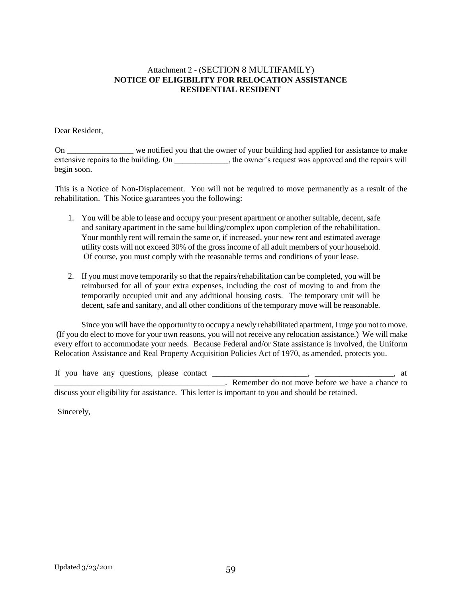#### Attachment 2 - (SECTION 8 MULTIFAMILY) **NOTICE OF ELIGIBILITY FOR RELOCATION ASSISTANCE RESIDENTIAL RESIDENT**

#### Dear Resident,

On \_\_\_\_\_\_\_\_\_\_\_\_\_\_\_\_ we notified you that the owner of your building had applied for assistance to make extensive repairs to the building. On  $\qquad \qquad$ , the owner's request was approved and the repairs will begin soon.

This is a Notice of Non-Displacement. You will not be required to move permanently as a result of the rehabilitation. This Notice guarantees you the following:

- 1. You will be able to lease and occupy your present apartment or another suitable, decent, safe and sanitary apartment in the same building/complex upon completion of the rehabilitation. Your monthly rent will remain the same or, if increased, your new rent and estimated average utility costs will not exceed 30% of the gross income of all adult members of your household. Of course, you must comply with the reasonable terms and conditions of your lease.
- 2. If you must move temporarily so that the repairs/rehabilitation can be completed, you will be reimbursed for all of your extra expenses, including the cost of moving to and from the temporarily occupied unit and any additional housing costs. The temporary unit will be decent, safe and sanitary, and all other conditions of the temporary move will be reasonable.

Since you will have the opportunity to occupy a newly rehabilitated apartment, I urge you not to move. (If you do elect to move for your own reasons, you will not receive any relocation assistance.) We will make every effort to accommodate your needs. Because Federal and/or State assistance is involved, the Uniform Relocation Assistance and Real Property Acquisition Policies Act of 1970, as amended, protects you.

|  | If you have any questions, please contact |  | at                                                                                               |
|--|-------------------------------------------|--|--------------------------------------------------------------------------------------------------|
|  |                                           |  | Remember do not move before we have a chance to                                                  |
|  |                                           |  | discuss your eligibility for assistance. This letter is important to you and should be retained. |

Sincerely,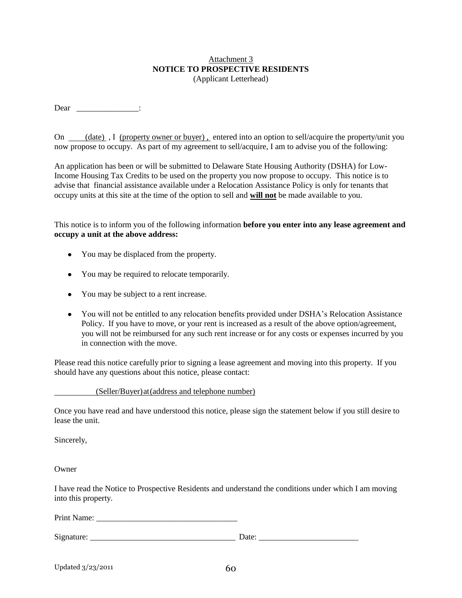#### Attachment 3 **NOTICE TO PROSPECTIVE RESIDENTS** (Applicant Letterhead)

Dear \_\_\_\_\_\_\_\_\_\_\_\_\_\_\_\_\_\_\_:

On (date), I (property owner or buyer), entered into an option to sell/acquire the property/unit you now propose to occupy. As part of my agreement to sell/acquire, I am to advise you of the following:

An application has been or will be submitted to Delaware State Housing Authority (DSHA) for Low-Income Housing Tax Credits to be used on the property you now propose to occupy. This notice is to advise that financial assistance available under a Relocation Assistance Policy is only for tenants that occupy units at this site at the time of the option to sell and **will not** be made available to you.

This notice is to inform you of the following information **before you enter into any lease agreement and occupy a unit at the above address:**

- You may be displaced from the property.
- You may be required to relocate temporarily.
- You may be subject to a rent increase.
- You will not be entitled to any relocation benefits provided under DSHA's Relocation Assistance Policy. If you have to move, or your rent is increased as a result of the above option/agreement, you will not be reimbursed for any such rent increase or for any costs or expenses incurred by you in connection with the move.

Please read this notice carefully prior to signing a lease agreement and moving into this property. If you should have any questions about this notice, please contact:

(Seller/Buyer)at(address and telephone number)

Once you have read and have understood this notice, please sign the statement below if you still desire to lease the unit.

Sincerely,

Owner

I have read the Notice to Prospective Residents and understand the conditions under which I am moving into this property.

Print Name:

| $\sim$<br>∼<br>. .<br>. . | -<br>--- |  |
|---------------------------|----------|--|
|                           |          |  |

| 60 |
|----|
|    |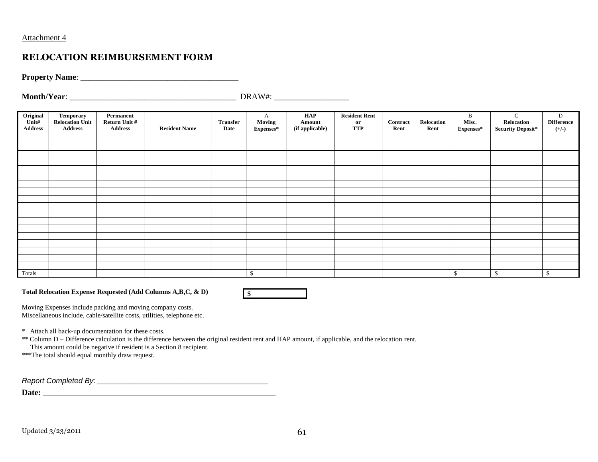#### Attachment 4

# **RELOCATION REIMBURSEMENT FORM**

**Property Name:** 

**Month/Year**: \_\_\_\_\_\_\_\_\_\_\_\_\_\_\_\_\_\_\_\_\_\_\_\_\_\_\_\_\_\_\_\_\_\_\_\_\_\_\_\_ DRAW#: \_\_\_\_\_\_\_\_\_\_\_\_\_\_\_\_\_\_

| Original<br>Unit#<br><b>Address</b> | Temporary<br><b>Relocation Unit</b><br><b>Address</b> | Permanent<br>Return Unit #<br><b>Address</b> | <b>Resident Name</b> | <b>Transfer</b><br>Date | A<br>Moving<br>Expenses* | HAP<br>Amount<br>(if applicable) | <b>Resident Rent</b><br>$\mathbf{or}$<br><b>TTP</b> | Contract<br>Rent | Relocation<br>Rent | B<br>Misc.<br>${\bf Express}^*$ | $\mathbf C$<br>Relocation<br><b>Security Deposit*</b> | D<br><b>Difference</b><br>$(+/-)$ |
|-------------------------------------|-------------------------------------------------------|----------------------------------------------|----------------------|-------------------------|--------------------------|----------------------------------|-----------------------------------------------------|------------------|--------------------|---------------------------------|-------------------------------------------------------|-----------------------------------|
|                                     |                                                       |                                              |                      |                         |                          |                                  |                                                     |                  |                    |                                 |                                                       |                                   |
|                                     |                                                       |                                              |                      |                         |                          |                                  |                                                     |                  |                    |                                 |                                                       |                                   |
|                                     |                                                       |                                              |                      |                         |                          |                                  |                                                     |                  |                    |                                 |                                                       |                                   |
|                                     |                                                       |                                              |                      |                         |                          |                                  |                                                     |                  |                    |                                 |                                                       |                                   |
|                                     |                                                       |                                              |                      |                         |                          |                                  |                                                     |                  |                    |                                 |                                                       |                                   |
|                                     |                                                       |                                              |                      |                         |                          |                                  |                                                     |                  |                    |                                 |                                                       |                                   |
|                                     |                                                       |                                              |                      |                         |                          |                                  |                                                     |                  |                    |                                 |                                                       |                                   |
|                                     |                                                       |                                              |                      |                         |                          |                                  |                                                     |                  |                    |                                 |                                                       |                                   |
|                                     |                                                       |                                              |                      |                         |                          |                                  |                                                     |                  |                    |                                 |                                                       |                                   |
|                                     |                                                       |                                              |                      |                         |                          |                                  |                                                     |                  |                    |                                 |                                                       |                                   |
|                                     |                                                       |                                              |                      |                         |                          |                                  |                                                     |                  |                    |                                 |                                                       |                                   |
|                                     |                                                       |                                              |                      |                         |                          |                                  |                                                     |                  |                    |                                 |                                                       |                                   |
|                                     |                                                       |                                              |                      |                         |                          |                                  |                                                     |                  |                    |                                 |                                                       |                                   |
|                                     |                                                       |                                              |                      |                         |                          |                                  |                                                     |                  |                    |                                 |                                                       |                                   |
|                                     |                                                       |                                              |                      |                         |                          |                                  |                                                     |                  |                    |                                 |                                                       |                                   |
|                                     |                                                       |                                              |                      |                         |                          |                                  |                                                     |                  |                    |                                 |                                                       |                                   |
| Totals                              |                                                       |                                              |                      |                         | $\mathbb{S}$             |                                  |                                                     |                  |                    | \$                              | \$                                                    | ¢<br>ъ                            |

**Total Relocation Expense Requested (Add Columns A,B,C, & D)**



Moving Expenses include packing and moving company costs. Miscellaneous include, cable/satellite costs, utilities, telephone etc.

\* Attach all back-up documentation for these costs.

\*\* Column D – Difference calculation is the difference between the original resident rent and HAP amount, if applicable, and the relocation rent.

This amount could be negative if resident is a Section 8 recipient.

\*\*\*The total should equal monthly draw request.

*Report Completed By: \_\_\_\_\_\_\_\_\_\_\_\_\_\_\_\_\_\_\_\_\_\_\_\_\_\_\_\_\_\_\_\_\_\_\_\_\_\_\_\_\_*

**Date: \_\_\_\_\_\_\_\_\_\_\_\_\_\_\_\_\_\_\_\_\_\_\_\_\_\_\_\_\_\_\_\_\_\_\_\_\_\_\_\_\_\_\_\_\_\_\_\_\_\_\_\_\_\_\_\_**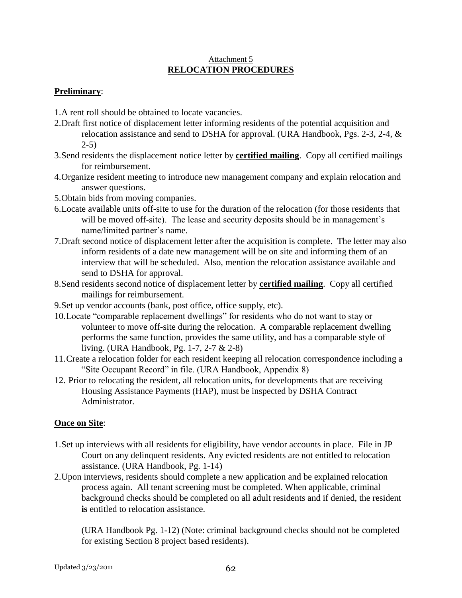### Attachment 5 **RELOCATION PROCEDURES**

# **Preliminary**:

- 1.A rent roll should be obtained to locate vacancies.
- 2.Draft first notice of displacement letter informing residents of the potential acquisition and relocation assistance and send to DSHA for approval. (URA Handbook, Pgs. 2-3, 2-4, &  $2-5$ )
- 3.Send residents the displacement notice letter by **certified mailing**. Copy all certified mailings for reimbursement.
- 4.Organize resident meeting to introduce new management company and explain relocation and answer questions.
- 5.Obtain bids from moving companies.
- 6.Locate available units off-site to use for the duration of the relocation (for those residents that will be moved off-site). The lease and security deposits should be in management's name/limited partner's name.
- 7.Draft second notice of displacement letter after the acquisition is complete. The letter may also inform residents of a date new management will be on site and informing them of an interview that will be scheduled. Also, mention the relocation assistance available and send to DSHA for approval.
- 8.Send residents second notice of displacement letter by **certified mailing**. Copy all certified mailings for reimbursement.
- 9.Set up vendor accounts (bank, post office, office supply, etc).
- 10.Locate "comparable replacement dwellings" for residents who do not want to stay or volunteer to move off-site during the relocation. A comparable replacement dwelling performs the same function, provides the same utility, and has a comparable style of living. (URA Handbook, Pg. 1-7, 2-7 & 2-8)
- 11.Create a relocation folder for each resident keeping all relocation correspondence including a "Site Occupant Record" in file. (URA Handbook, Appendix 8)
- 12. Prior to relocating the resident, all relocation units, for developments that are receiving Housing Assistance Payments (HAP), must be inspected by DSHA Contract Administrator.

# **Once on Site**:

- 1.Set up interviews with all residents for eligibility, have vendor accounts in place. File in JP Court on any delinquent residents. Any evicted residents are not entitled to relocation assistance. (URA Handbook, Pg. 1-14)
- 2.Upon interviews, residents should complete a new application and be explained relocation process again. All tenant screening must be completed. When applicable, criminal background checks should be completed on all adult residents and if denied, the resident **is** entitled to relocation assistance.

(URA Handbook Pg. 1-12) (Note: criminal background checks should not be completed for existing Section 8 project based residents).